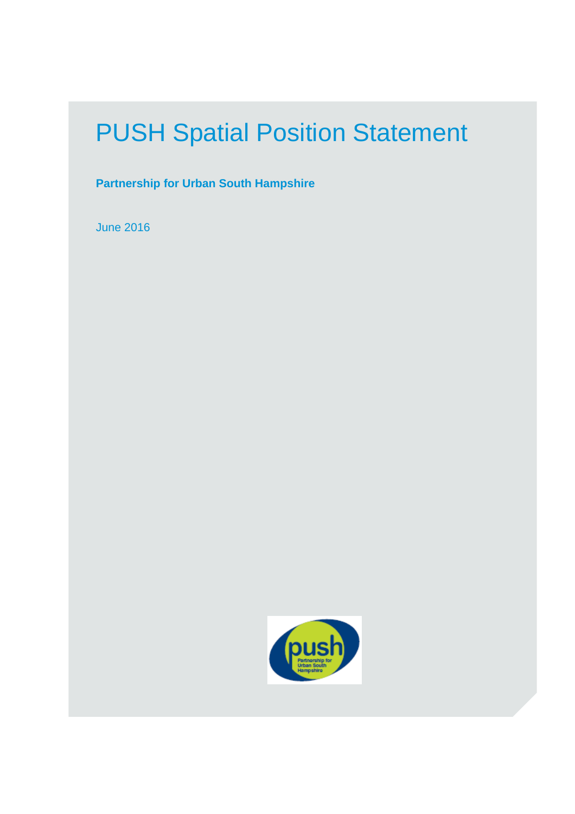# PUSH Spatial Position Statement

**Partnership for Urban South Hampshire** 

June 2016

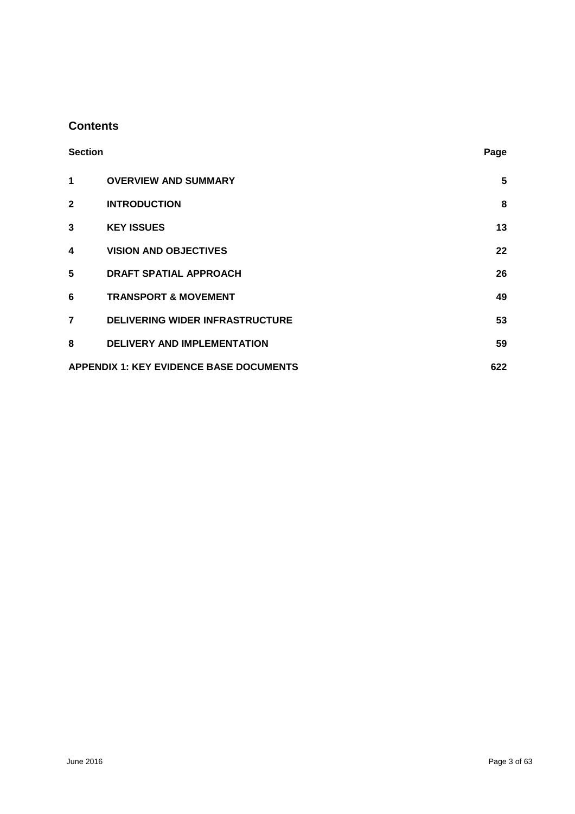# **Contents**

| <b>Section</b> |                                                       | Page |  |
|----------------|-------------------------------------------------------|------|--|
| 1              | <b>OVERVIEW AND SUMMARY</b>                           | 5    |  |
| $\mathbf{2}$   | <b>INTRODUCTION</b>                                   | 8    |  |
| 3              | <b>KEY ISSUES</b>                                     | 13   |  |
| 4              | <b>VISION AND OBJECTIVES</b>                          | 22   |  |
| 5              | <b>DRAFT SPATIAL APPROACH</b>                         | 26   |  |
| 6              | <b>TRANSPORT &amp; MOVEMENT</b>                       | 49   |  |
| $\overline{7}$ | <b>DELIVERING WIDER INFRASTRUCTURE</b>                | 53   |  |
| 8              | <b>DELIVERY AND IMPLEMENTATION</b>                    | 59   |  |
|                | <b>APPENDIX 1: KEY EVIDENCE BASE DOCUMENTS</b><br>622 |      |  |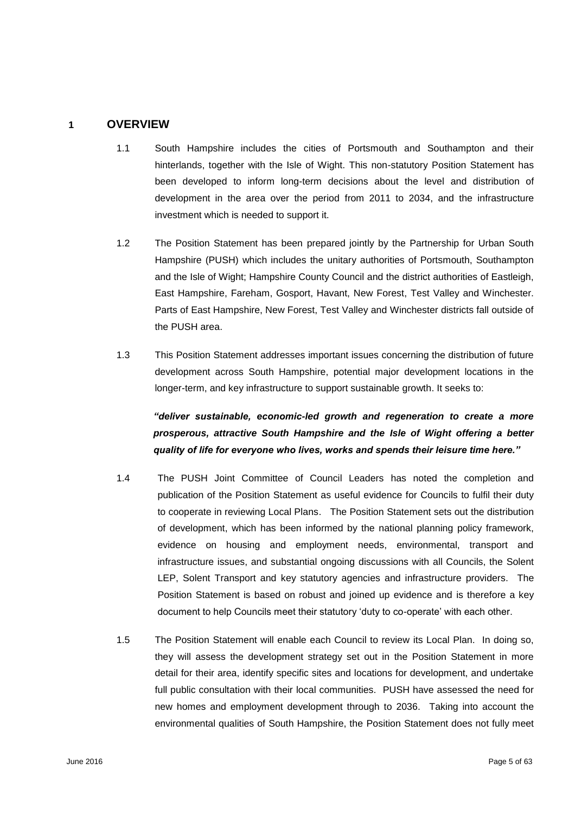## **1 OVERVIEW**

- 1.1 South Hampshire includes the cities of Portsmouth and Southampton and their hinterlands, together with the Isle of Wight. This non-statutory Position Statement has been developed to inform long-term decisions about the level and distribution of development in the area over the period from 2011 to 2034, and the infrastructure investment which is needed to support it.
- 1.2 The Position Statement has been prepared jointly by the Partnership for Urban South Hampshire (PUSH) which includes the unitary authorities of Portsmouth, Southampton and the Isle of Wight; Hampshire County Council and the district authorities of Eastleigh, East Hampshire, Fareham, Gosport, Havant, New Forest, Test Valley and Winchester. Parts of East Hampshire, New Forest, Test Valley and Winchester districts fall outside of the PUSH area.
- 1.3 This Position Statement addresses important issues concerning the distribution of future development across South Hampshire, potential major development locations in the longer-term, and key infrastructure to support sustainable growth. It seeks to:

*"deliver sustainable, economic-led growth and regeneration to create a more prosperous, attractive South Hampshire and the Isle of Wight offering a better quality of life for everyone who lives, works and spends their leisure time here."* 

- 1.4 The PUSH Joint Committee of Council Leaders has noted the completion and publication of the Position Statement as useful evidence for Councils to fulfil their duty to cooperate in reviewing Local Plans. The Position Statement sets out the distribution of development, which has been informed by the national planning policy framework, evidence on housing and employment needs, environmental, transport and infrastructure issues, and substantial ongoing discussions with all Councils, the Solent LEP, Solent Transport and key statutory agencies and infrastructure providers. The Position Statement is based on robust and joined up evidence and is therefore a key document to help Councils meet their statutory 'duty to co-operate' with each other.
- 1.5 The Position Statement will enable each Council to review its Local Plan. In doing so, they will assess the development strategy set out in the Position Statement in more detail for their area, identify specific sites and locations for development, and undertake full public consultation with their local communities. PUSH have assessed the need for new homes and employment development through to 2036. Taking into account the environmental qualities of South Hampshire, the Position Statement does not fully meet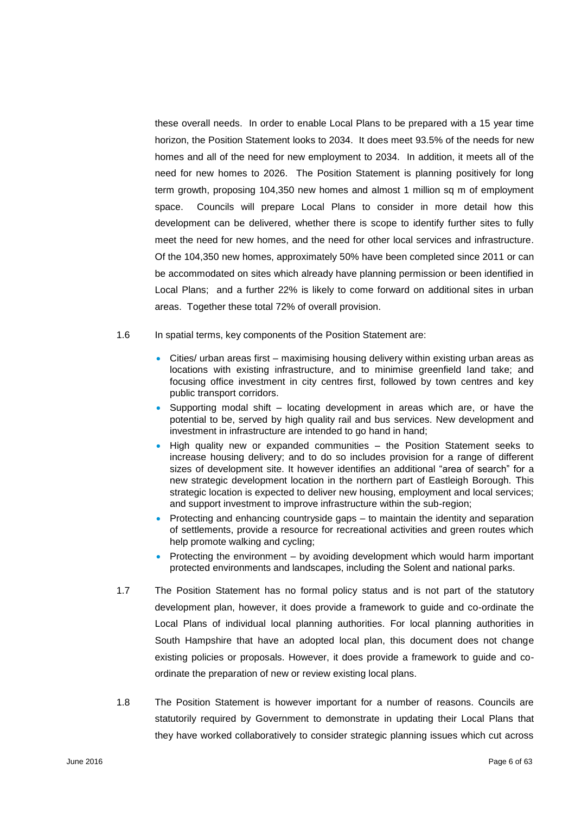these overall needs. In order to enable Local Plans to be prepared with a 15 year time horizon, the Position Statement looks to 2034. It does meet 93.5% of the needs for new homes and all of the need for new employment to 2034. In addition, it meets all of the need for new homes to 2026. The Position Statement is planning positively for long term growth, proposing 104,350 new homes and almost 1 million sq m of employment space. Councils will prepare Local Plans to consider in more detail how this development can be delivered, whether there is scope to identify further sites to fully meet the need for new homes, and the need for other local services and infrastructure. Of the 104,350 new homes, approximately 50% have been completed since 2011 or can be accommodated on sites which already have planning permission or been identified in Local Plans; and a further 22% is likely to come forward on additional sites in urban areas. Together these total 72% of overall provision.

- 1.6 In spatial terms, key components of the Position Statement are:
	- Cities/ urban areas first maximising housing delivery within existing urban areas as locations with existing infrastructure, and to minimise greenfield land take; and focusing office investment in city centres first, followed by town centres and key public transport corridors.
	- $\bullet$  Supporting modal shift locating development in areas which are, or have the potential to be, served by high quality rail and bus services. New development and investment in infrastructure are intended to go hand in hand;
	- High quality new or expanded communities the Position Statement seeks to increase housing delivery; and to do so includes provision for a range of different sizes of development site. It however identifies an additional "area of search" for a new strategic development location in the northern part of Eastleigh Borough. This strategic location is expected to deliver new housing, employment and local services; and support investment to improve infrastructure within the sub-region;
	- Protecting and enhancing countryside gaps to maintain the identity and separation of settlements, provide a resource for recreational activities and green routes which help promote walking and cycling;
	- Protecting the environment  $-$  by avoiding development which would harm important protected environments and landscapes, including the Solent and national parks.
- 1.7 The Position Statement has no formal policy status and is not part of the statutory development plan, however, it does provide a framework to guide and co-ordinate the Local Plans of individual local planning authorities. For local planning authorities in South Hampshire that have an adopted local plan, this document does not change existing policies or proposals. However, it does provide a framework to guide and coordinate the preparation of new or review existing local plans.
- 1.8 The Position Statement is however important for a number of reasons. Councils are statutorily required by Government to demonstrate in updating their Local Plans that they have worked collaboratively to consider strategic planning issues which cut across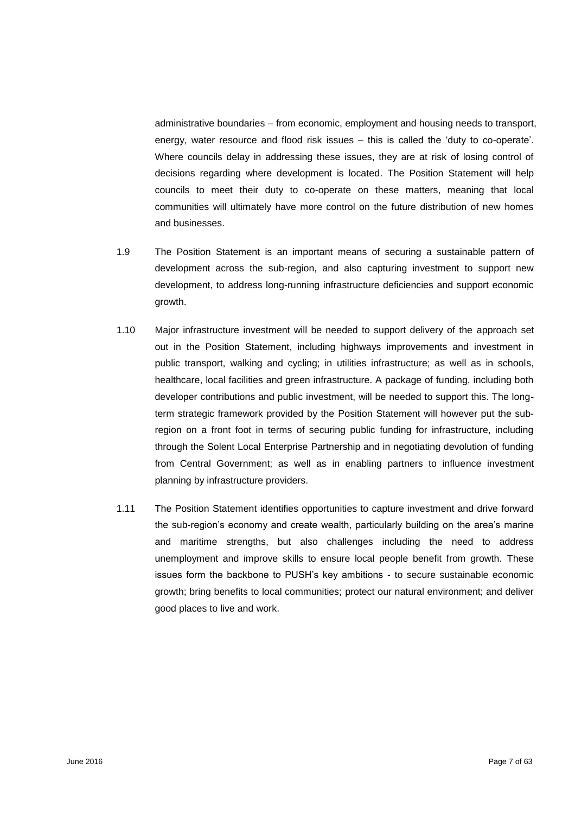administrative boundaries – from economic, employment and housing needs to transport, energy, water resource and flood risk issues – this is called the 'duty to co-operate'. Where councils delay in addressing these issues, they are at risk of losing control of decisions regarding where development is located. The Position Statement will help councils to meet their duty to co-operate on these matters, meaning that local communities will ultimately have more control on the future distribution of new homes and businesses.

- 1.9 The Position Statement is an important means of securing a sustainable pattern of development across the sub-region, and also capturing investment to support new development, to address long-running infrastructure deficiencies and support economic growth.
- 1.10 Major infrastructure investment will be needed to support delivery of the approach set out in the Position Statement, including highways improvements and investment in public transport, walking and cycling; in utilities infrastructure; as well as in schools, healthcare, local facilities and green infrastructure. A package of funding, including both developer contributions and public investment, will be needed to support this. The longterm strategic framework provided by the Position Statement will however put the subregion on a front foot in terms of securing public funding for infrastructure, including through the Solent Local Enterprise Partnership and in negotiating devolution of funding from Central Government; as well as in enabling partners to influence investment planning by infrastructure providers.
- 1.11 The Position Statement identifies opportunities to capture investment and drive forward the sub-region's economy and create wealth, particularly building on the area's marine and maritime strengths, but also challenges including the need to address unemployment and improve skills to ensure local people benefit from growth. These issues form the backbone to PUSH's key ambitions - to secure sustainable economic growth; bring benefits to local communities; protect our natural environment; and deliver good places to live and work.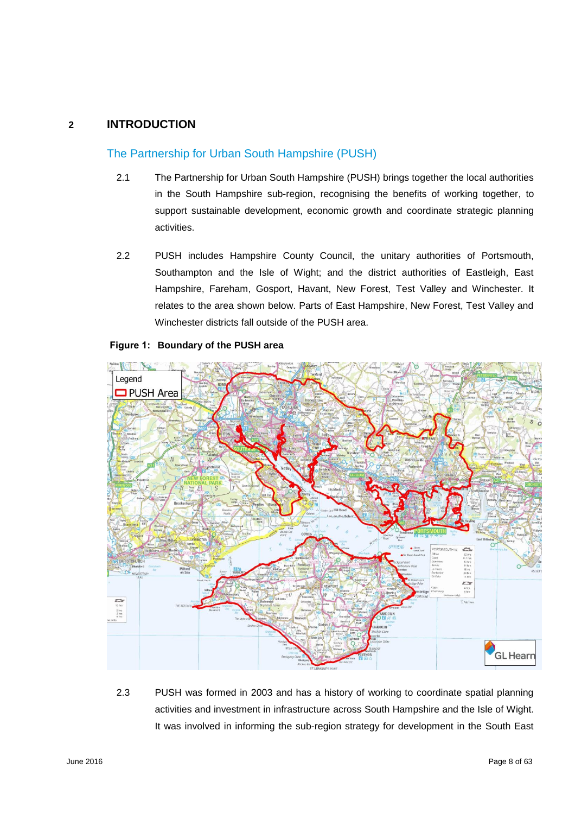## **2 INTRODUCTION**

## The Partnership for Urban South Hampshire (PUSH)

- 2.1 The Partnership for Urban South Hampshire (PUSH) brings together the local authorities in the South Hampshire sub-region, recognising the benefits of working together, to support sustainable development, economic growth and coordinate strategic planning activities.
- 2.2 PUSH includes Hampshire County Council, the unitary authorities of Portsmouth, Southampton and the Isle of Wight; and the district authorities of Eastleigh, East Hampshire, Fareham, Gosport, Havant, New Forest, Test Valley and Winchester. It relates to the area shown below. Parts of East Hampshire, New Forest, Test Valley and Winchester districts fall outside of the PUSH area.





2.3 PUSH was formed in 2003 and has a history of working to coordinate spatial planning activities and investment in infrastructure across South Hampshire and the Isle of Wight. It was involved in informing the sub-region strategy for development in the South East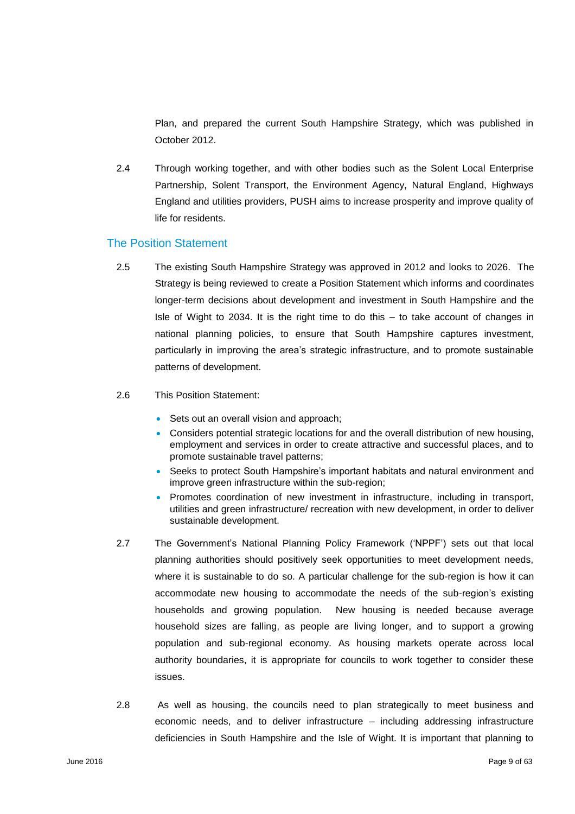Plan, and prepared the current South Hampshire Strategy, which was published in October 2012.

2.4 Through working together, and with other bodies such as the Solent Local Enterprise Partnership, Solent Transport, the Environment Agency, Natural England, Highways England and utilities providers, PUSH aims to increase prosperity and improve quality of life for residents.

## The Position Statement

- 2.5 The existing South Hampshire Strategy was approved in 2012 and looks to 2026. The Strategy is being reviewed to create a Position Statement which informs and coordinates longer-term decisions about development and investment in South Hampshire and the Isle of Wight to 2034. It is the right time to do this – to take account of changes in national planning policies, to ensure that South Hampshire captures investment, particularly in improving the area's strategic infrastructure, and to promote sustainable patterns of development.
- 2.6 This Position Statement:
	- Sets out an overall vision and approach;
	- Considers potential strategic locations for and the overall distribution of new housing, employment and services in order to create attractive and successful places, and to promote sustainable travel patterns;
	- Seeks to protect South Hampshire's important habitats and natural environment and improve green infrastructure within the sub-region;
	- Promotes coordination of new investment in infrastructure, including in transport, utilities and green infrastructure/ recreation with new development, in order to deliver sustainable development.
- 2.7 The Government's National Planning Policy Framework ('NPPF') sets out that local planning authorities should positively seek opportunities to meet development needs, where it is sustainable to do so. A particular challenge for the sub-region is how it can accommodate new housing to accommodate the needs of the sub-region's existing households and growing population. New housing is needed because average household sizes are falling, as people are living longer, and to support a growing population and sub-regional economy. As housing markets operate across local authority boundaries, it is appropriate for councils to work together to consider these issues.
- 2.8 As well as housing, the councils need to plan strategically to meet business and economic needs, and to deliver infrastructure – including addressing infrastructure deficiencies in South Hampshire and the Isle of Wight. It is important that planning to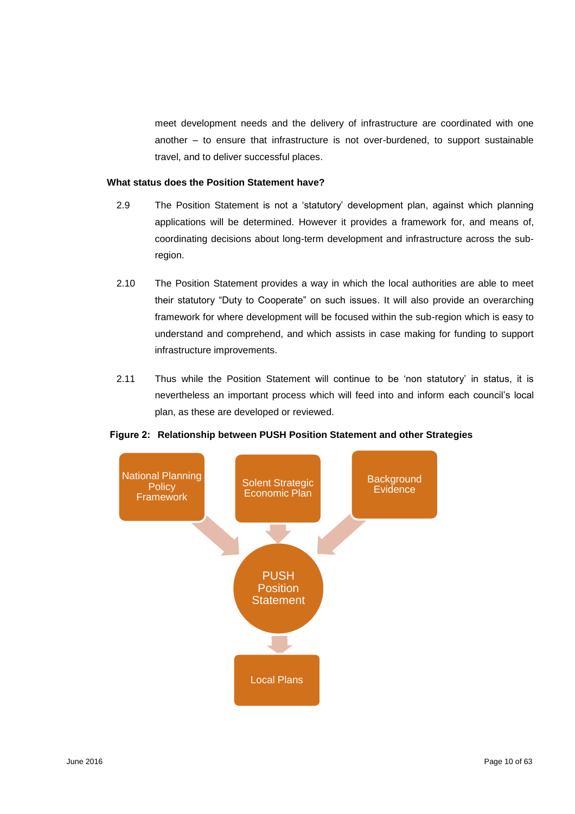meet development needs and the delivery of infrastructure are coordinated with one another – to ensure that infrastructure is not over-burdened, to support sustainable travel, and to deliver successful places.

## **What status does the Position Statement have?**

- 2.9 The Position Statement is not a 'statutory' development plan, against which planning applications will be determined. However it provides a framework for, and means of, coordinating decisions about long-term development and infrastructure across the subregion.
- 2.10 The Position Statement provides a way in which the local authorities are able to meet their statutory "Duty to Cooperate" on such issues. It will also provide an overarching framework for where development will be focused within the sub-region which is easy to understand and comprehend, and which assists in case making for funding to support infrastructure improvements.
- 2.11 Thus while the Position Statement will continue to be 'non statutory' in status, it is nevertheless an important process which will feed into and inform each council's local plan, as these are developed or reviewed.



## **Figure 2: Relationship between PUSH Position Statement and other Strategies**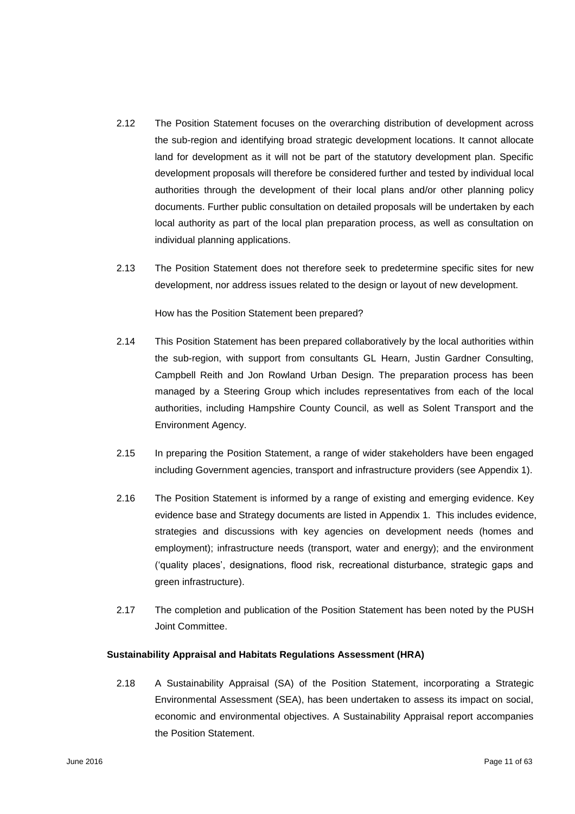- 2.12 The Position Statement focuses on the overarching distribution of development across the sub-region and identifying broad strategic development locations. It cannot allocate land for development as it will not be part of the statutory development plan. Specific development proposals will therefore be considered further and tested by individual local authorities through the development of their local plans and/or other planning policy documents. Further public consultation on detailed proposals will be undertaken by each local authority as part of the local plan preparation process, as well as consultation on individual planning applications.
- 2.13 The Position Statement does not therefore seek to predetermine specific sites for new development, nor address issues related to the design or layout of new development.

How has the Position Statement been prepared?

- 2.14 This Position Statement has been prepared collaboratively by the local authorities within the sub-region, with support from consultants GL Hearn, Justin Gardner Consulting, Campbell Reith and Jon Rowland Urban Design. The preparation process has been managed by a Steering Group which includes representatives from each of the local authorities, including Hampshire County Council, as well as Solent Transport and the Environment Agency.
- 2.15 In preparing the Position Statement, a range of wider stakeholders have been engaged including Government agencies, transport and infrastructure providers (see Appendix 1).
- 2.16 The Position Statement is informed by a range of existing and emerging evidence. Key evidence base and Strategy documents are listed in Appendix 1. This includes evidence, strategies and discussions with key agencies on development needs (homes and employment); infrastructure needs (transport, water and energy); and the environment ('quality places', designations, flood risk, recreational disturbance, strategic gaps and green infrastructure).
- 2.17 The completion and publication of the Position Statement has been noted by the PUSH Joint Committee.

#### **Sustainability Appraisal and Habitats Regulations Assessment (HRA)**

2.18 A Sustainability Appraisal (SA) of the Position Statement, incorporating a Strategic Environmental Assessment (SEA), has been undertaken to assess its impact on social, economic and environmental objectives. A Sustainability Appraisal report accompanies the Position Statement.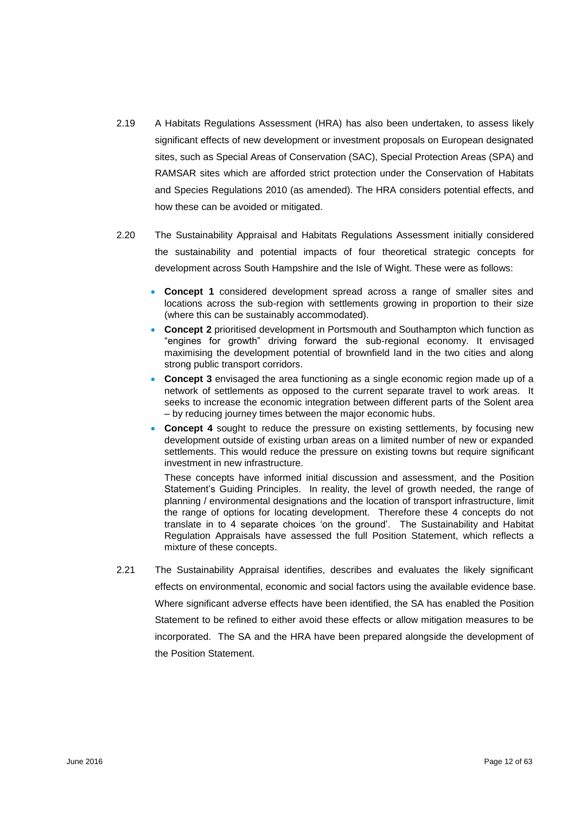- 2.19 A Habitats Regulations Assessment (HRA) has also been undertaken, to assess likely significant effects of new development or investment proposals on European designated sites, such as Special Areas of Conservation (SAC), Special Protection Areas (SPA) and RAMSAR sites which are afforded strict protection under the Conservation of Habitats and Species Regulations 2010 (as amended). The HRA considers potential effects, and how these can be avoided or mitigated.
- 2.20 The Sustainability Appraisal and Habitats Regulations Assessment initially considered the sustainability and potential impacts of four theoretical strategic concepts for development across South Hampshire and the Isle of Wight. These were as follows:
	- **Concept 1** considered development spread across a range of smaller sites and locations across the sub-region with settlements growing in proportion to their size (where this can be sustainably accommodated).
	- **Concept 2** prioritised development in Portsmouth and Southampton which function as "engines for growth" driving forward the sub-regional economy. It envisaged maximising the development potential of brownfield land in the two cities and along strong public transport corridors.
	- **Concept 3** envisaged the area functioning as a single economic region made up of a network of settlements as opposed to the current separate travel to work areas. It seeks to increase the economic integration between different parts of the Solent area – by reducing journey times between the major economic hubs.
	- **Concept 4** sought to reduce the pressure on existing settlements, by focusing new development outside of existing urban areas on a limited number of new or expanded settlements. This would reduce the pressure on existing towns but require significant investment in new infrastructure.

These concepts have informed initial discussion and assessment, and the Position Statement's Guiding Principles. In reality, the level of growth needed, the range of planning / environmental designations and the location of transport infrastructure, limit the range of options for locating development. Therefore these 4 concepts do not translate in to 4 separate choices 'on the ground'. The Sustainability and Habitat Regulation Appraisals have assessed the full Position Statement, which reflects a mixture of these concepts.

2.21 The Sustainability Appraisal identifies, describes and evaluates the likely significant effects on environmental, economic and social factors using the available evidence base. Where significant adverse effects have been identified, the SA has enabled the Position Statement to be refined to either avoid these effects or allow mitigation measures to be incorporated. The SA and the HRA have been prepared alongside the development of the Position Statement.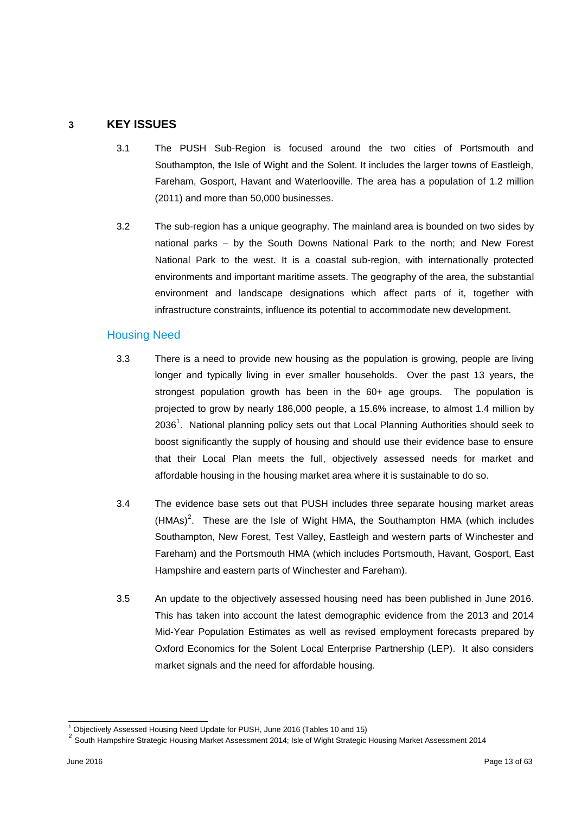## **3 KEY ISSUES**

- 3.1 The PUSH Sub-Region is focused around the two cities of Portsmouth and Southampton, the Isle of Wight and the Solent. It includes the larger towns of Eastleigh, Fareham, Gosport, Havant and Waterlooville. The area has a population of 1.2 million (2011) and more than 50,000 businesses.
- 3.2 The sub-region has a unique geography. The mainland area is bounded on two sides by national parks – by the South Downs National Park to the north; and New Forest National Park to the west. It is a coastal sub-region, with internationally protected environments and important maritime assets. The geography of the area, the substantial environment and landscape designations which affect parts of it, together with infrastructure constraints, influence its potential to accommodate new development.

## Housing Need

- 3.3 There is a need to provide new housing as the population is growing, people are living longer and typically living in ever smaller households. Over the past 13 years, the strongest population growth has been in the 60+ age groups. The population is projected to grow by nearly 186,000 people, a 15.6% increase, to almost 1.4 million by 2036<sup>1</sup>. National planning policy sets out that Local Planning Authorities should seek to boost significantly the supply of housing and should use their evidence base to ensure that their Local Plan meets the full, objectively assessed needs for market and affordable housing in the housing market area where it is sustainable to do so.
- 3.4 The evidence base sets out that PUSH includes three separate housing market areas  $(HMAs)<sup>2</sup>$ . These are the Isle of Wight HMA, the Southampton HMA (which includes Southampton, New Forest, Test Valley, Eastleigh and western parts of Winchester and Fareham) and the Portsmouth HMA (which includes Portsmouth, Havant, Gosport, East Hampshire and eastern parts of Winchester and Fareham).
- 3.5 An update to the objectively assessed housing need has been published in June 2016. This has taken into account the latest demographic evidence from the 2013 and 2014 Mid-Year Population Estimates as well as revised employment forecasts prepared by Oxford Economics for the Solent Local Enterprise Partnership (LEP). It also considers market signals and the need for affordable housing.

l  $<sup>1</sup>$  Objectively Assessed Housing Need Update for PUSH, June 2016 (Tables 10 and 15)</sup>

<sup>2&</sup>lt;br><sup>2</sup> South Hampshire Strategic Housing Market Assessment 2014; Isle of Wight Strategic Housing Market Assessment 2014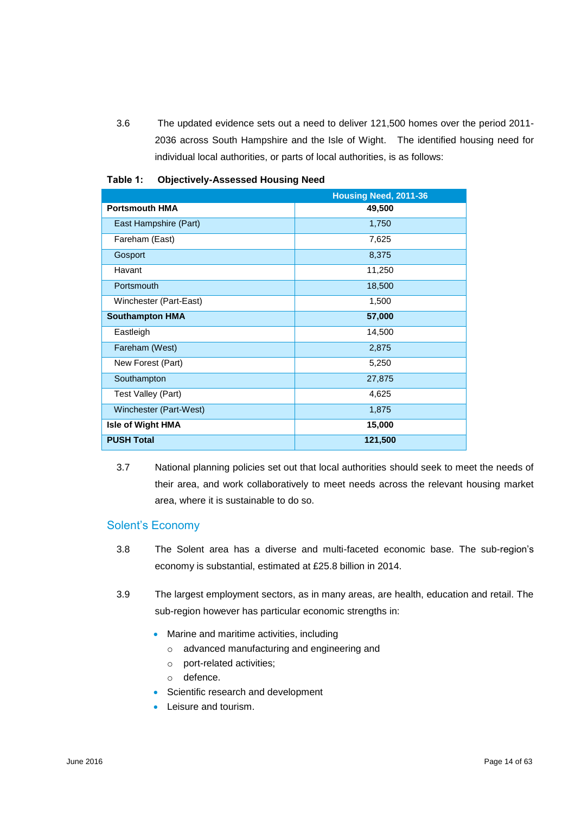3.6 The updated evidence sets out a need to deliver 121,500 homes over the period 2011- 2036 across South Hampshire and the Isle of Wight. The identified housing need for individual local authorities, or parts of local authorities, is as follows:

|                          | Housing Need, 2011-36 |
|--------------------------|-----------------------|
| <b>Portsmouth HMA</b>    | 49,500                |
| East Hampshire (Part)    | 1,750                 |
| Fareham (East)           | 7,625                 |
| Gosport                  | 8,375                 |
| Havant                   | 11,250                |
| Portsmouth               | 18,500                |
| Winchester (Part-East)   | 1,500                 |
| <b>Southampton HMA</b>   | 57,000                |
| Eastleigh                | 14,500                |
| Fareham (West)           | 2,875                 |
| New Forest (Part)        | 5,250                 |
| Southampton              | 27,875                |
| Test Valley (Part)       | 4,625                 |
| Winchester (Part-West)   | 1,875                 |
| <b>Isle of Wight HMA</b> | 15,000                |
| <b>PUSH Total</b>        | 121,500               |

#### **Table 1: Objectively-Assessed Housing Need**

3.7 National planning policies set out that local authorities should seek to meet the needs of their area, and work collaboratively to meet needs across the relevant housing market area, where it is sustainable to do so.

## Solent's Economy

- 3.8 The Solent area has a diverse and multi-faceted economic base. The sub-region's economy is substantial, estimated at £25.8 billion in 2014.
- 3.9 The largest employment sectors, as in many areas, are health, education and retail. The sub-region however has particular economic strengths in:
	- Marine and maritime activities, including
		- o advanced manufacturing and engineering and
		- o port-related activities;
		- o defence.
	- **Scientific research and development**
	- Leisure and tourism.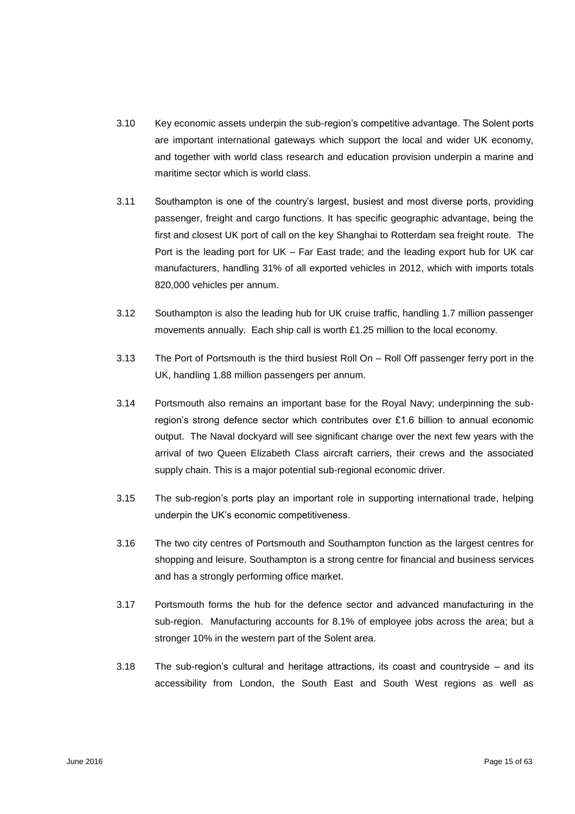- 3.10 Key economic assets underpin the sub-region's competitive advantage. The Solent ports are important international gateways which support the local and wider UK economy, and together with world class research and education provision underpin a marine and maritime sector which is world class.
- 3.11 Southampton is one of the country's largest, busiest and most diverse ports, providing passenger, freight and cargo functions. It has specific geographic advantage, being the first and closest UK port of call on the key Shanghai to Rotterdam sea freight route. The Port is the leading port for UK – Far East trade; and the leading export hub for UK car manufacturers, handling 31% of all exported vehicles in 2012, which with imports totals 820,000 vehicles per annum.
- 3.12 Southampton is also the leading hub for UK cruise traffic, handling 1.7 million passenger movements annually. Each ship call is worth £1.25 million to the local economy.
- 3.13 The Port of Portsmouth is the third busiest Roll On Roll Off passenger ferry port in the UK, handling 1.88 million passengers per annum.
- 3.14 Portsmouth also remains an important base for the Royal Navy; underpinning the subregion's strong defence sector which contributes over £1.6 billion to annual economic output. The Naval dockyard will see significant change over the next few years with the arrival of two Queen Elizabeth Class aircraft carriers, their crews and the associated supply chain. This is a major potential sub-regional economic driver.
- 3.15 The sub-region's ports play an important role in supporting international trade, helping underpin the UK's economic competitiveness.
- 3.16 The two city centres of Portsmouth and Southampton function as the largest centres for shopping and leisure. Southampton is a strong centre for financial and business services and has a strongly performing office market.
- 3.17 Portsmouth forms the hub for the defence sector and advanced manufacturing in the sub-region. Manufacturing accounts for 8.1% of employee jobs across the area; but a stronger 10% in the western part of the Solent area.
- 3.18 The sub-region's cultural and heritage attractions, its coast and countryside and its accessibility from London, the South East and South West regions as well as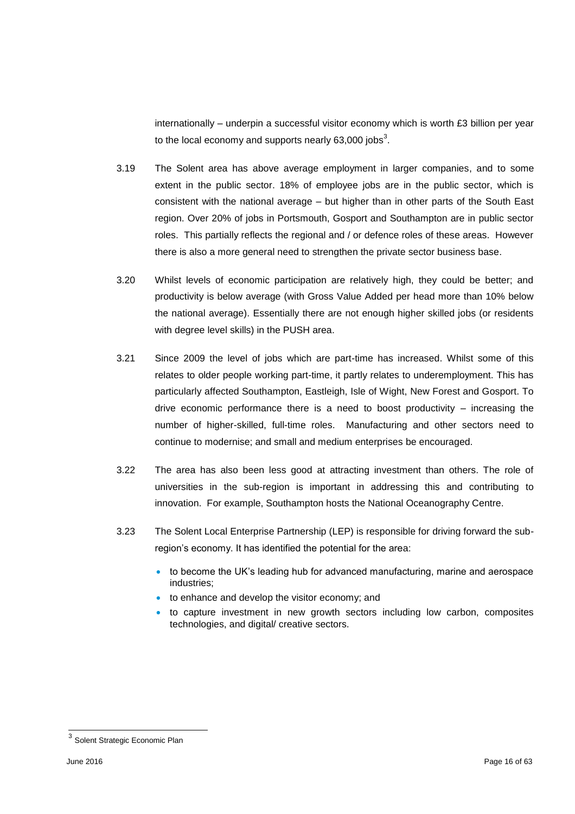internationally – underpin a successful visitor economy which is worth £3 billion per year to the local economy and supports nearly 63,000 jobs<sup>3</sup>.

- 3.19 The Solent area has above average employment in larger companies, and to some extent in the public sector. 18% of employee jobs are in the public sector, which is consistent with the national average – but higher than in other parts of the South East region. Over 20% of jobs in Portsmouth, Gosport and Southampton are in public sector roles. This partially reflects the regional and / or defence roles of these areas. However there is also a more general need to strengthen the private sector business base.
- 3.20 Whilst levels of economic participation are relatively high, they could be better; and productivity is below average (with Gross Value Added per head more than 10% below the national average). Essentially there are not enough higher skilled jobs (or residents with degree level skills) in the PUSH area.
- 3.21 Since 2009 the level of jobs which are part-time has increased. Whilst some of this relates to older people working part-time, it partly relates to underemployment. This has particularly affected Southampton, Eastleigh, Isle of Wight, New Forest and Gosport. To drive economic performance there is a need to boost productivity – increasing the number of higher-skilled, full-time roles. Manufacturing and other sectors need to continue to modernise; and small and medium enterprises be encouraged.
- 3.22 The area has also been less good at attracting investment than others. The role of universities in the sub-region is important in addressing this and contributing to innovation. For example, Southampton hosts the National Oceanography Centre.
- 3.23 The Solent Local Enterprise Partnership (LEP) is responsible for driving forward the subregion's economy. It has identified the potential for the area:
	- to become the UK's leading hub for advanced manufacturing, marine and aerospace industries;
	- to enhance and develop the visitor economy; and
	- to capture investment in new growth sectors including low carbon, composites technologies, and digital/ creative sectors.

<sup>&</sup>lt;u>a</u><br><sup>3</sup> Solent Strategic Economic Plan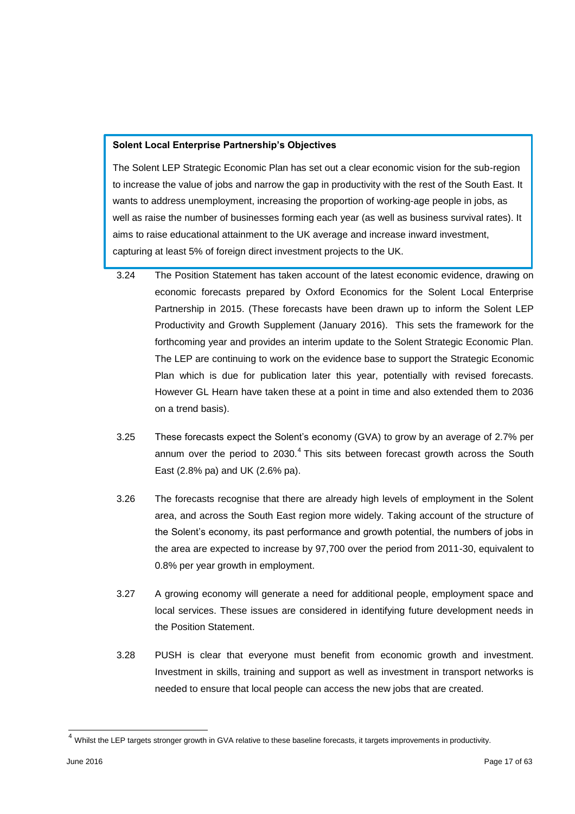#### **Solent Local Enterprise Partnership's Objectives**

The Solent LEP Strategic Economic Plan has set out a clear economic vision for the sub-region to increase the value of jobs and narrow the gap in productivity with the rest of the South East. It wants to address unemployment, increasing the proportion of working-age people in jobs, as well as raise the number of businesses forming each year (as well as business survival rates). It aims to raise educational attainment to the UK average and increase inward investment, capturing at least 5% of foreign direct investment projects to the UK.

- 3.24 The Position Statement has taken account of the latest economic evidence, drawing on economic forecasts prepared by Oxford Economics for the Solent Local Enterprise Partnership in 2015. (These forecasts have been drawn up to inform the Solent LEP Productivity and Growth Supplement (January 2016). This sets the framework for the forthcoming year and provides an interim update to the Solent Strategic Economic Plan. The LEP are continuing to work on the evidence base to support the Strategic Economic Plan which is due for publication later this year, potentially with revised forecasts. However GL Hearn have taken these at a point in time and also extended them to 2036 on a trend basis).
- 3.25 These forecasts expect the Solent's economy (GVA) to grow by an average of 2.7% per annum over the period to 2030. $<sup>4</sup>$  This sits between forecast growth across the South</sup> East (2.8% pa) and UK (2.6% pa).
- 3.26 The forecasts recognise that there are already high levels of employment in the Solent area, and across the South East region more widely. Taking account of the structure of the Solent's economy, its past performance and growth potential, the numbers of jobs in the area are expected to increase by 97,700 over the period from 2011-30, equivalent to 0.8% per year growth in employment.
- 3.27 A growing economy will generate a need for additional people, employment space and local services. These issues are considered in identifying future development needs in the Position Statement.
- 3.28 PUSH is clear that everyone must benefit from economic growth and investment. Investment in skills, training and support as well as investment in transport networks is needed to ensure that local people can access the new jobs that are created.

l

 $4$  Whilst the LEP targets stronger growth in GVA relative to these baseline forecasts, it targets improvements in productivity.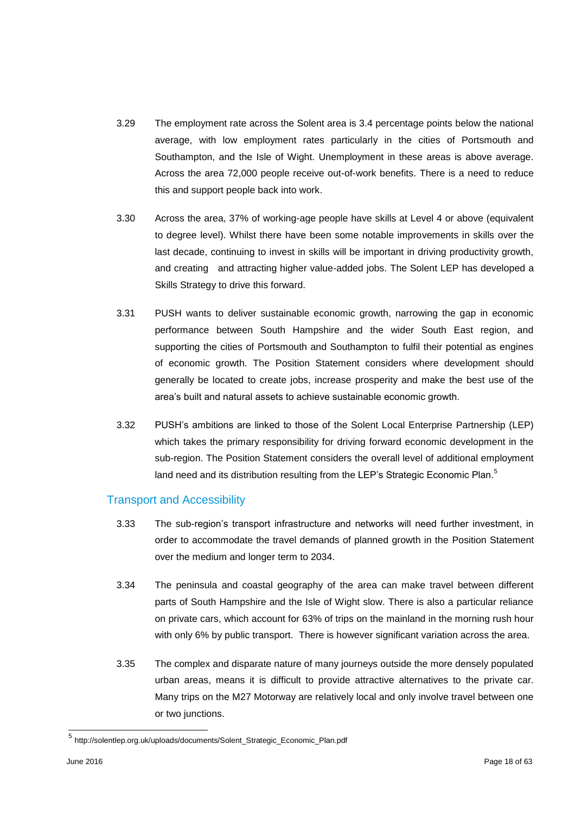- 3.29 The employment rate across the Solent area is 3.4 percentage points below the national average, with low employment rates particularly in the cities of Portsmouth and Southampton, and the Isle of Wight. Unemployment in these areas is above average. Across the area 72,000 people receive out-of-work benefits. There is a need to reduce this and support people back into work.
- 3.30 Across the area, 37% of working-age people have skills at Level 4 or above (equivalent to degree level). Whilst there have been some notable improvements in skills over the last decade, continuing to invest in skills will be important in driving productivity growth, and creating and attracting higher value-added jobs. The Solent LEP has developed a Skills Strategy to drive this forward.
- 3.31 PUSH wants to deliver sustainable economic growth, narrowing the gap in economic performance between South Hampshire and the wider South East region, and supporting the cities of Portsmouth and Southampton to fulfil their potential as engines of economic growth. The Position Statement considers where development should generally be located to create jobs, increase prosperity and make the best use of the area's built and natural assets to achieve sustainable economic growth.
- 3.32 PUSH's ambitions are linked to those of the Solent Local Enterprise Partnership (LEP) which takes the primary responsibility for driving forward economic development in the sub-region. The Position Statement considers the overall level of additional employment land need and its distribution resulting from the LEP's Strategic Economic Plan.<sup>5</sup>

## Transport and Accessibility

- 3.33 The sub-region's transport infrastructure and networks will need further investment, in order to accommodate the travel demands of planned growth in the Position Statement over the medium and longer term to 2034.
- 3.34 The peninsula and coastal geography of the area can make travel between different parts of South Hampshire and the Isle of Wight slow. There is also a particular reliance on private cars, which account for 63% of trips on the mainland in the morning rush hour with only 6% by public transport. There is however significant variation across the area.
- 3.35 The complex and disparate nature of many journeys outside the more densely populated urban areas, means it is difficult to provide attractive alternatives to the private car. Many trips on the M27 Motorway are relatively local and only involve travel between one or two junctions.

 5 http://solentlep.org.uk/uploads/documents/Solent\_Strategic\_Economic\_Plan.pdf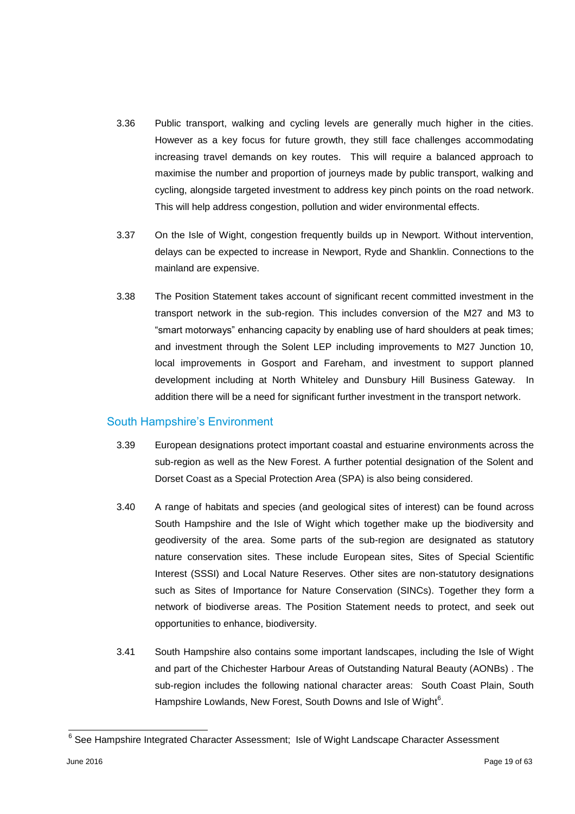- 3.36 Public transport, walking and cycling levels are generally much higher in the cities. However as a key focus for future growth, they still face challenges accommodating increasing travel demands on key routes. This will require a balanced approach to maximise the number and proportion of journeys made by public transport, walking and cycling, alongside targeted investment to address key pinch points on the road network. This will help address congestion, pollution and wider environmental effects.
- 3.37 On the Isle of Wight, congestion frequently builds up in Newport. Without intervention, delays can be expected to increase in Newport, Ryde and Shanklin. Connections to the mainland are expensive.
- 3.38 The Position Statement takes account of significant recent committed investment in the transport network in the sub-region. This includes conversion of the M27 and M3 to "smart motorways" enhancing capacity by enabling use of hard shoulders at peak times; and investment through the Solent LEP including improvements to M27 Junction 10, local improvements in Gosport and Fareham, and investment to support planned development including at North Whiteley and Dunsbury Hill Business Gateway. In addition there will be a need for significant further investment in the transport network.

## South Hampshire's Environment

- 3.39 European designations protect important coastal and estuarine environments across the sub-region as well as the New Forest. A further potential designation of the Solent and Dorset Coast as a Special Protection Area (SPA) is also being considered.
- 3.40 A range of habitats and species (and geological sites of interest) can be found across South Hampshire and the Isle of Wight which together make up the biodiversity and geodiversity of the area. Some parts of the sub-region are designated as statutory nature conservation sites. These include European sites, Sites of Special Scientific Interest (SSSI) and Local Nature Reserves. Other sites are non-statutory designations such as Sites of Importance for Nature Conservation (SINCs). Together they form a network of biodiverse areas. The Position Statement needs to protect, and seek out opportunities to enhance, biodiversity.
- 3.41 South Hampshire also contains some important landscapes, including the Isle of Wight and part of the Chichester Harbour Areas of Outstanding Natural Beauty (AONBs) . The sub-region includes the following national character areas: South Coast Plain, South Hampshire Lowlands, New Forest, South Downs and Isle of Wight<sup>6</sup>.

 6 See Hampshire Integrated Character Assessment; Isle of Wight Landscape Character Assessment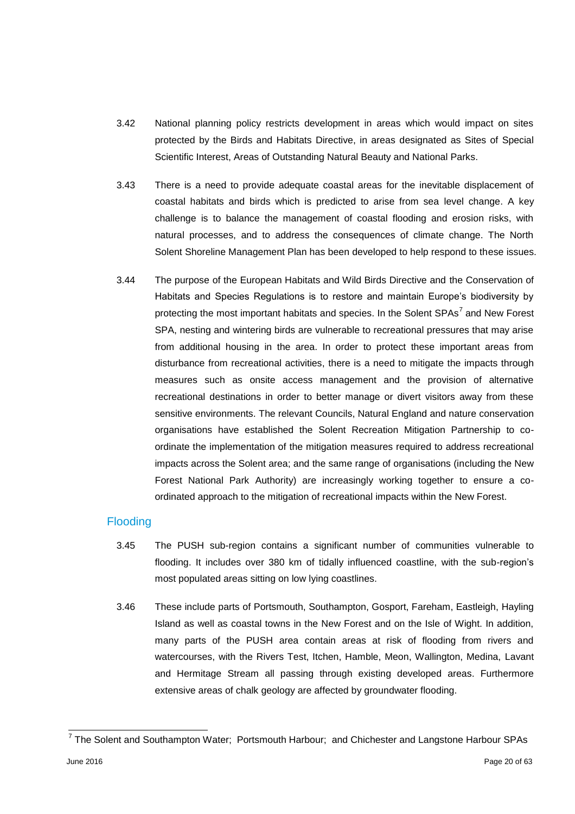- 3.42 National planning policy restricts development in areas which would impact on sites protected by the Birds and Habitats Directive, in areas designated as Sites of Special Scientific Interest, Areas of Outstanding Natural Beauty and National Parks.
- 3.43 There is a need to provide adequate coastal areas for the inevitable displacement of coastal habitats and birds which is predicted to arise from sea level change. A key challenge is to balance the management of coastal flooding and erosion risks, with natural processes, and to address the consequences of climate change. The North Solent Shoreline Management Plan has been developed to help respond to these issues.
- 3.44 The purpose of the European Habitats and Wild Birds Directive and the Conservation of Habitats and Species Regulations is to restore and maintain Europe's biodiversity by protecting the most important habitats and species. In the Solent SPAs<sup>7</sup> and New Forest SPA, nesting and wintering birds are vulnerable to recreational pressures that may arise from additional housing in the area. In order to protect these important areas from disturbance from recreational activities, there is a need to mitigate the impacts through measures such as onsite access management and the provision of alternative recreational destinations in order to better manage or divert visitors away from these sensitive environments. The relevant Councils, Natural England and nature conservation organisations have established the Solent Recreation Mitigation Partnership to coordinate the implementation of the mitigation measures required to address recreational impacts across the Solent area; and the same range of organisations (including the New Forest National Park Authority) are increasingly working together to ensure a coordinated approach to the mitigation of recreational impacts within the New Forest.

## **Flooding**

- 3.45 The PUSH sub-region contains a significant number of communities vulnerable to flooding. It includes over 380 km of tidally influenced coastline, with the sub-region's most populated areas sitting on low lying coastlines.
- 3.46 These include parts of Portsmouth, Southampton, Gosport, Fareham, Eastleigh, Hayling Island as well as coastal towns in the New Forest and on the Isle of Wight. In addition, many parts of the PUSH area contain areas at risk of flooding from rivers and watercourses, with the Rivers Test, Itchen, Hamble, Meon, Wallington, Medina, Lavant and Hermitage Stream all passing through existing developed areas. Furthermore extensive areas of chalk geology are affected by groundwater flooding.

<sup>————————————————————&</sup>lt;br><sup>7</sup> The Solent and Southampton Water; Portsmouth Harbour; and Chichester and Langstone Harbour SPAs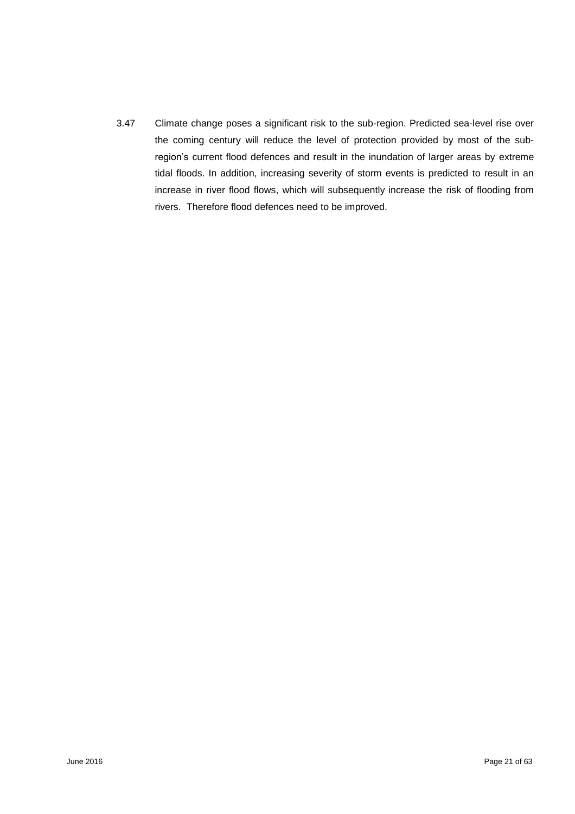3.47 Climate change poses a significant risk to the sub-region. Predicted sea-level rise over the coming century will reduce the level of protection provided by most of the subregion's current flood defences and result in the inundation of larger areas by extreme tidal floods. In addition, increasing severity of storm events is predicted to result in an increase in river flood flows, which will subsequently increase the risk of flooding from rivers. Therefore flood defences need to be improved.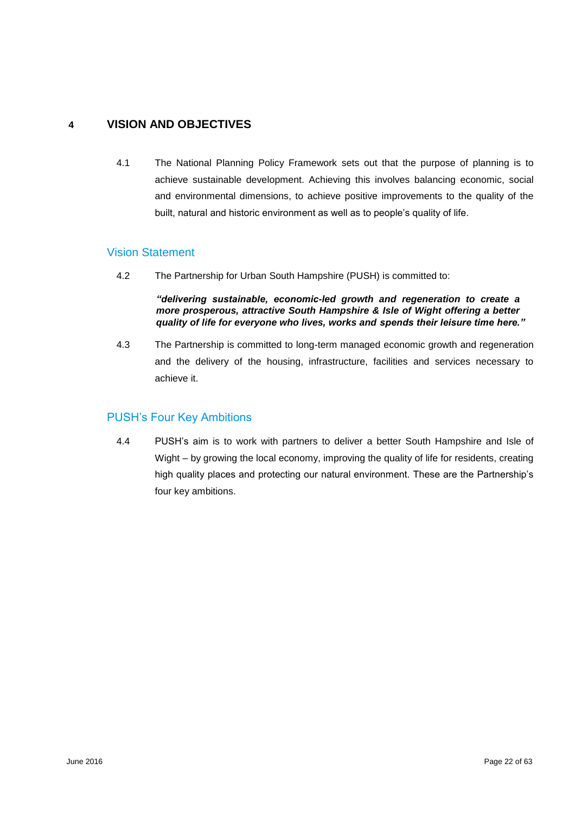# **4 VISION AND OBJECTIVES**

4.1 The National Planning Policy Framework sets out that the purpose of planning is to achieve sustainable development. Achieving this involves balancing economic, social and environmental dimensions, to achieve positive improvements to the quality of the built, natural and historic environment as well as to people's quality of life.

## Vision Statement

4.2 The Partnership for Urban South Hampshire (PUSH) is committed to:

*"delivering sustainable, economic-led growth and regeneration to create a more prosperous, attractive South Hampshire & Isle of Wight offering a better quality of life for everyone who lives, works and spends their leisure time here."* 

4.3 The Partnership is committed to long-term managed economic growth and regeneration and the delivery of the housing, infrastructure, facilities and services necessary to achieve it.

# PUSH's Four Key Ambitions

4.4 PUSH's aim is to work with partners to deliver a better South Hampshire and Isle of Wight – by growing the local economy, improving the quality of life for residents, creating high quality places and protecting our natural environment. These are the Partnership's four key ambitions.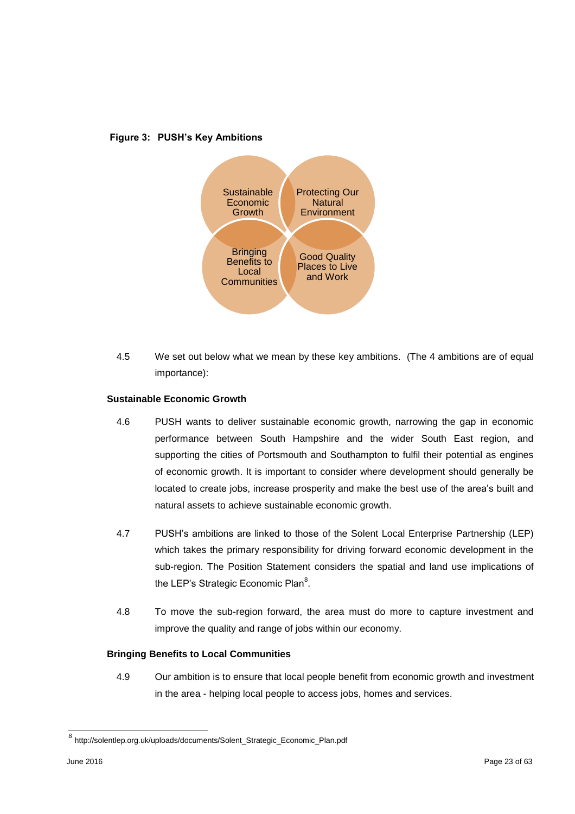

#### **Figure 3: PUSH's Key Ambitions**

4.5 We set out below what we mean by these key ambitions. (The 4 ambitions are of equal importance):

#### **Sustainable Economic Growth**

- 4.6 PUSH wants to deliver sustainable economic growth, narrowing the gap in economic performance between South Hampshire and the wider South East region, and supporting the cities of Portsmouth and Southampton to fulfil their potential as engines of economic growth. It is important to consider where development should generally be located to create jobs, increase prosperity and make the best use of the area's built and natural assets to achieve sustainable economic growth.
- 4.7 PUSH's ambitions are linked to those of the Solent Local Enterprise Partnership (LEP) which takes the primary responsibility for driving forward economic development in the sub-region. The Position Statement considers the spatial and land use implications of the LEP's Strategic Economic Plan<sup>8</sup>.
- 4.8 To move the sub-region forward, the area must do more to capture investment and improve the quality and range of jobs within our economy.

#### **Bringing Benefits to Local Communities**

4.9 Our ambition is to ensure that local people benefit from economic growth and investment in the area - helping local people to access jobs, homes and services.

 8 http://solentlep.org.uk/uploads/documents/Solent\_Strategic\_Economic\_Plan.pdf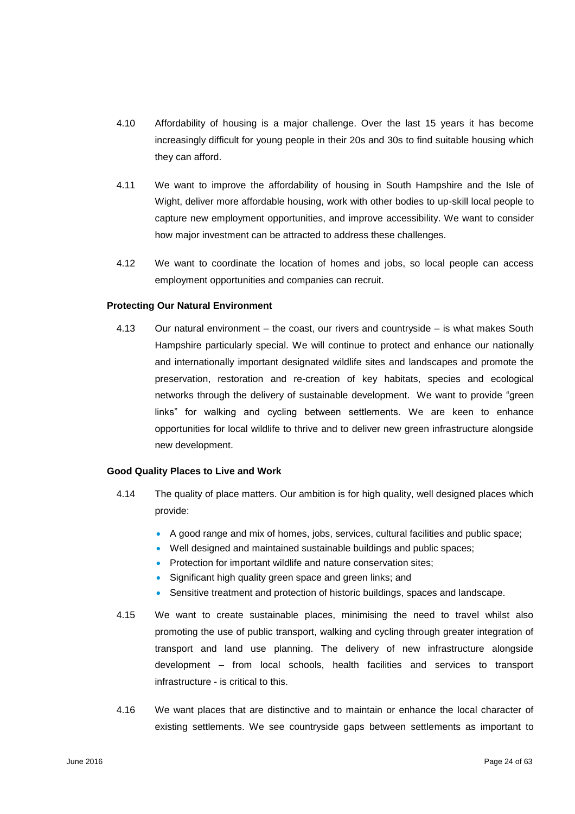- 4.10 Affordability of housing is a major challenge. Over the last 15 years it has become increasingly difficult for young people in their 20s and 30s to find suitable housing which they can afford.
- 4.11 We want to improve the affordability of housing in South Hampshire and the Isle of Wight, deliver more affordable housing, work with other bodies to up-skill local people to capture new employment opportunities, and improve accessibility. We want to consider how major investment can be attracted to address these challenges.
- 4.12 We want to coordinate the location of homes and jobs, so local people can access employment opportunities and companies can recruit.

#### **Protecting Our Natural Environment**

4.13 Our natural environment – the coast, our rivers and countryside – is what makes South Hampshire particularly special. We will continue to protect and enhance our nationally and internationally important designated wildlife sites and landscapes and promote the preservation, restoration and re-creation of key habitats, species and ecological networks through the delivery of sustainable development. We want to provide "green links" for walking and cycling between settlements. We are keen to enhance opportunities for local wildlife to thrive and to deliver new green infrastructure alongside new development.

#### **Good Quality Places to Live and Work**

- 4.14 The quality of place matters. Our ambition is for high quality, well designed places which provide:
	- A good range and mix of homes, jobs, services, cultural facilities and public space;
	- Well designed and maintained sustainable buildings and public spaces;
	- Protection for important wildlife and nature conservation sites;
	- Significant high quality green space and green links; and
	- Sensitive treatment and protection of historic buildings, spaces and landscape.
- 4.15 We want to create sustainable places, minimising the need to travel whilst also promoting the use of public transport, walking and cycling through greater integration of transport and land use planning. The delivery of new infrastructure alongside development – from local schools, health facilities and services to transport infrastructure - is critical to this.
- 4.16 We want places that are distinctive and to maintain or enhance the local character of existing settlements. We see countryside gaps between settlements as important to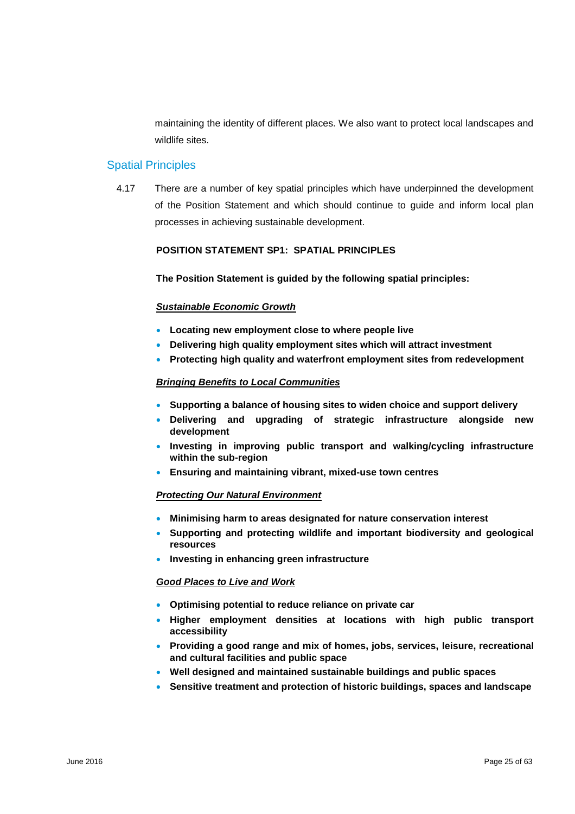maintaining the identity of different places. We also want to protect local landscapes and wildlife sites.

## Spatial Principles

4.17 There are a number of key spatial principles which have underpinned the development of the Position Statement and which should continue to guide and inform local plan processes in achieving sustainable development.

#### **POSITION STATEMENT SP1: SPATIAL PRINCIPLES**

**The Position Statement is guided by the following spatial principles:** 

#### *Sustainable Economic Growth*

- **Locating new employment close to where people live**
- **Delivering high quality employment sites which will attract investment**
- **Protecting high quality and waterfront employment sites from redevelopment**

#### *Bringing Benefits to Local Communities*

- **Supporting a balance of housing sites to widen choice and support delivery**
- **Delivering and upgrading of strategic infrastructure alongside new development**
- **Investing in improving public transport and walking/cycling infrastructure within the sub-region**
- **Ensuring and maintaining vibrant, mixed-use town centres**

#### *Protecting Our Natural Environment*

- **Minimising harm to areas designated for nature conservation interest**
- **Supporting and protecting wildlife and important biodiversity and geological resources**
- **Investing in enhancing green infrastructure**

#### *Good Places to Live and Work*

- **Optimising potential to reduce reliance on private car**
- **Higher employment densities at locations with high public transport accessibility**
- **Providing a good range and mix of homes, jobs, services, leisure, recreational and cultural facilities and public space**
- **Well designed and maintained sustainable buildings and public spaces**
- **Sensitive treatment and protection of historic buildings, spaces and landscape**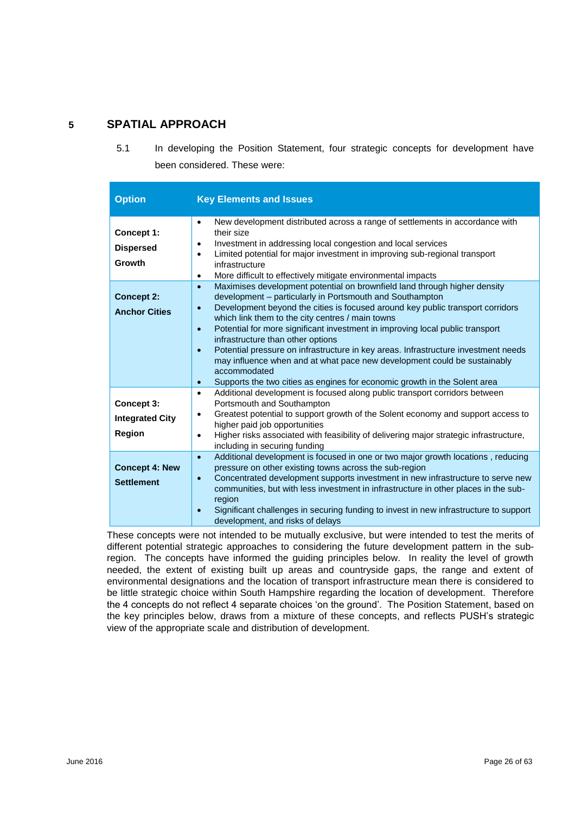# **5 SPATIAL APPROACH**

5.1 In developing the Position Statement, four strategic concepts for development have been considered. These were:

| <b>Option</b>                                  | <b>Key Elements and Issues</b>                                                                                                                                                                                                                                                                                                                                                                                                                                                                                                                                                                                                                                                                                                    |
|------------------------------------------------|-----------------------------------------------------------------------------------------------------------------------------------------------------------------------------------------------------------------------------------------------------------------------------------------------------------------------------------------------------------------------------------------------------------------------------------------------------------------------------------------------------------------------------------------------------------------------------------------------------------------------------------------------------------------------------------------------------------------------------------|
| Concept 1:<br><b>Dispersed</b><br>Growth       | New development distributed across a range of settlements in accordance with<br>$\bullet$<br>their size<br>Investment in addressing local congestion and local services<br>$\bullet$<br>Limited potential for major investment in improving sub-regional transport<br>$\bullet$<br>infrastructure<br>More difficult to effectively mitigate environmental impacts<br>$\bullet$                                                                                                                                                                                                                                                                                                                                                    |
| <b>Concept 2:</b><br><b>Anchor Cities</b>      | Maximises development potential on brownfield land through higher density<br>$\bullet$<br>development - particularly in Portsmouth and Southampton<br>Development beyond the cities is focused around key public transport corridors<br>$\bullet$<br>which link them to the city centres / main towns<br>Potential for more significant investment in improving local public transport<br>$\bullet$<br>infrastructure than other options<br>Potential pressure on infrastructure in key areas. Infrastructure investment needs<br>$\bullet$<br>may influence when and at what pace new development could be sustainably<br>accommodated<br>Supports the two cities as engines for economic growth in the Solent area<br>$\bullet$ |
| Concept 3:<br><b>Integrated City</b><br>Region | Additional development is focused along public transport corridors between<br>$\bullet$<br>Portsmouth and Southampton<br>Greatest potential to support growth of the Solent economy and support access to<br>$\bullet$<br>higher paid job opportunities<br>Higher risks associated with feasibility of delivering major strategic infrastructure,<br>$\bullet$<br>including in securing funding                                                                                                                                                                                                                                                                                                                                   |
| <b>Concept 4: New</b><br><b>Settlement</b>     | Additional development is focused in one or two major growth locations, reducing<br>$\bullet$<br>pressure on other existing towns across the sub-region<br>Concentrated development supports investment in new infrastructure to serve new<br>$\bullet$<br>communities, but with less investment in infrastructure in other places in the sub-<br>region<br>Significant challenges in securing funding to invest in new infrastructure to support<br>development, and risks of delays                                                                                                                                                                                                                                             |

These concepts were not intended to be mutually exclusive, but were intended to test the merits of different potential strategic approaches to considering the future development pattern in the subregion. The concepts have informed the guiding principles below. In reality the level of growth needed, the extent of existing built up areas and countryside gaps, the range and extent of environmental designations and the location of transport infrastructure mean there is considered to be little strategic choice within South Hampshire regarding the location of development. Therefore the 4 concepts do not reflect 4 separate choices 'on the ground'. The Position Statement, based on the key principles below, draws from a mixture of these concepts, and reflects PUSH's strategic view of the appropriate scale and distribution of development.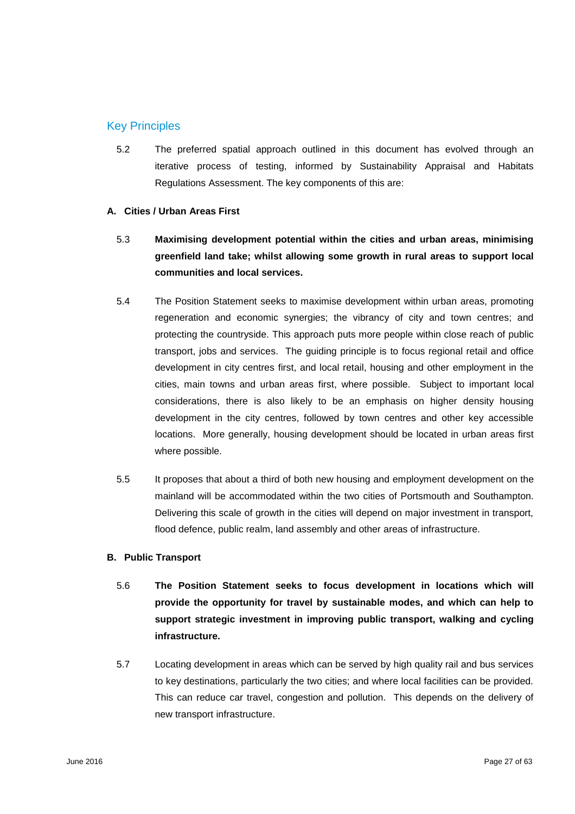## Key Principles

5.2 The preferred spatial approach outlined in this document has evolved through an iterative process of testing, informed by Sustainability Appraisal and Habitats Regulations Assessment. The key components of this are:

#### **A. Cities / Urban Areas First**

- 5.3 **Maximising development potential within the cities and urban areas, minimising greenfield land take; whilst allowing some growth in rural areas to support local communities and local services.**
- 5.4 The Position Statement seeks to maximise development within urban areas, promoting regeneration and economic synergies; the vibrancy of city and town centres; and protecting the countryside. This approach puts more people within close reach of public transport, jobs and services. The guiding principle is to focus regional retail and office development in city centres first, and local retail, housing and other employment in the cities, main towns and urban areas first, where possible. Subject to important local considerations, there is also likely to be an emphasis on higher density housing development in the city centres, followed by town centres and other key accessible locations. More generally, housing development should be located in urban areas first where possible.
- 5.5 It proposes that about a third of both new housing and employment development on the mainland will be accommodated within the two cities of Portsmouth and Southampton. Delivering this scale of growth in the cities will depend on major investment in transport, flood defence, public realm, land assembly and other areas of infrastructure.

## **B. Public Transport**

- 5.6 **The Position Statement seeks to focus development in locations which will provide the opportunity for travel by sustainable modes, and which can help to support strategic investment in improving public transport, walking and cycling infrastructure.**
- 5.7 Locating development in areas which can be served by high quality rail and bus services to key destinations, particularly the two cities; and where local facilities can be provided. This can reduce car travel, congestion and pollution. This depends on the delivery of new transport infrastructure.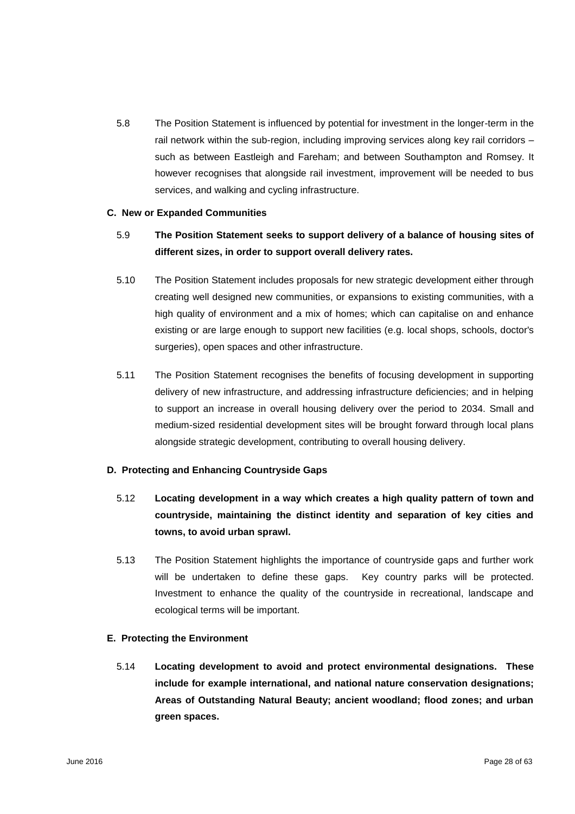5.8 The Position Statement is influenced by potential for investment in the longer-term in the rail network within the sub-region, including improving services along key rail corridors – such as between Eastleigh and Fareham; and between Southampton and Romsey. It however recognises that alongside rail investment, improvement will be needed to bus services, and walking and cycling infrastructure.

#### **C. New or Expanded Communities**

# 5.9 **The Position Statement seeks to support delivery of a balance of housing sites of different sizes, in order to support overall delivery rates.**

- 5.10 The Position Statement includes proposals for new strategic development either through creating well designed new communities, or expansions to existing communities, with a high quality of environment and a mix of homes; which can capitalise on and enhance existing or are large enough to support new facilities (e.g. local shops, schools, doctor's surgeries), open spaces and other infrastructure.
- 5.11 The Position Statement recognises the benefits of focusing development in supporting delivery of new infrastructure, and addressing infrastructure deficiencies; and in helping to support an increase in overall housing delivery over the period to 2034. Small and medium-sized residential development sites will be brought forward through local plans alongside strategic development, contributing to overall housing delivery.

## **D. Protecting and Enhancing Countryside Gaps**

- 5.12 **Locating development in a way which creates a high quality pattern of town and countryside, maintaining the distinct identity and separation of key cities and towns, to avoid urban sprawl.**
- 5.13 The Position Statement highlights the importance of countryside gaps and further work will be undertaken to define these gaps. Key country parks will be protected. Investment to enhance the quality of the countryside in recreational, landscape and ecological terms will be important.

#### **E. Protecting the Environment**

5.14 **Locating development to avoid and protect environmental designations. These include for example international, and national nature conservation designations; Areas of Outstanding Natural Beauty; ancient woodland; flood zones; and urban green spaces.**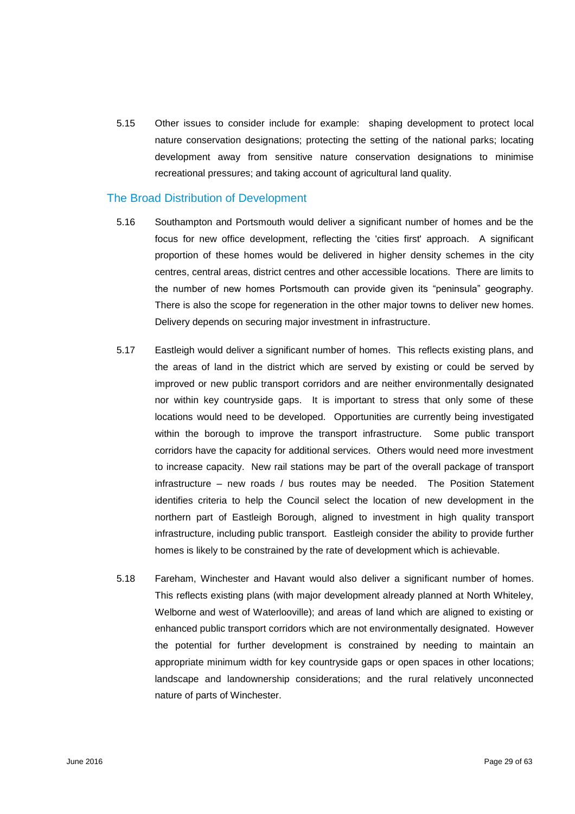5.15 Other issues to consider include for example: shaping development to protect local nature conservation designations; protecting the setting of the national parks; locating development away from sensitive nature conservation designations to minimise recreational pressures; and taking account of agricultural land quality.

## The Broad Distribution of Development

- 5.16 Southampton and Portsmouth would deliver a significant number of homes and be the focus for new office development, reflecting the 'cities first' approach. A significant proportion of these homes would be delivered in higher density schemes in the city centres, central areas, district centres and other accessible locations. There are limits to the number of new homes Portsmouth can provide given its "peninsula" geography. There is also the scope for regeneration in the other major towns to deliver new homes. Delivery depends on securing major investment in infrastructure.
- 5.17 Eastleigh would deliver a significant number of homes. This reflects existing plans, and the areas of land in the district which are served by existing or could be served by improved or new public transport corridors and are neither environmentally designated nor within key countryside gaps. It is important to stress that only some of these locations would need to be developed. Opportunities are currently being investigated within the borough to improve the transport infrastructure. Some public transport corridors have the capacity for additional services. Others would need more investment to increase capacity. New rail stations may be part of the overall package of transport infrastructure – new roads / bus routes may be needed. The Position Statement identifies criteria to help the Council select the location of new development in the northern part of Eastleigh Borough, aligned to investment in high quality transport infrastructure, including public transport. Eastleigh consider the ability to provide further homes is likely to be constrained by the rate of development which is achievable.
- 5.18 Fareham, Winchester and Havant would also deliver a significant number of homes. This reflects existing plans (with major development already planned at North Whiteley, Welborne and west of Waterlooville); and areas of land which are aligned to existing or enhanced public transport corridors which are not environmentally designated. However the potential for further development is constrained by needing to maintain an appropriate minimum width for key countryside gaps or open spaces in other locations; landscape and landownership considerations; and the rural relatively unconnected nature of parts of Winchester.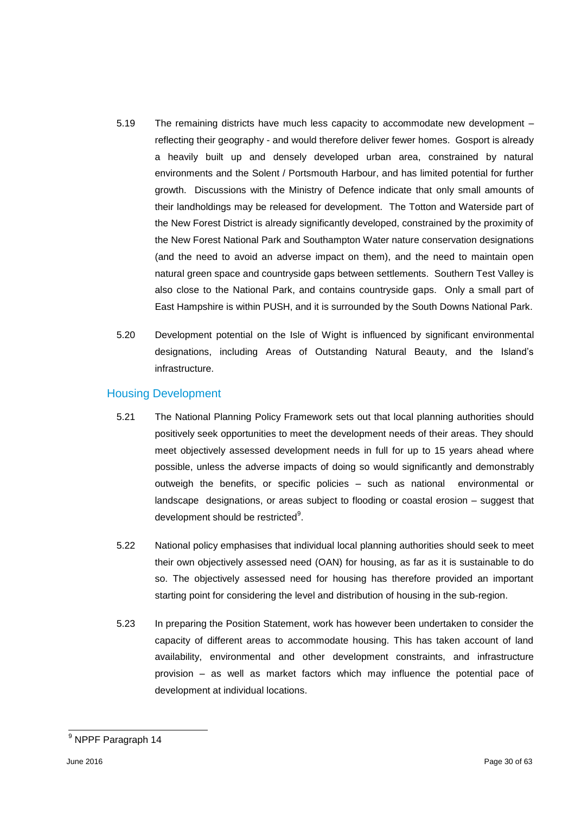- 5.19 The remaining districts have much less capacity to accommodate new development reflecting their geography - and would therefore deliver fewer homes. Gosport is already a heavily built up and densely developed urban area, constrained by natural environments and the Solent / Portsmouth Harbour, and has limited potential for further growth. Discussions with the Ministry of Defence indicate that only small amounts of their landholdings may be released for development. The Totton and Waterside part of the New Forest District is already significantly developed, constrained by the proximity of the New Forest National Park and Southampton Water nature conservation designations (and the need to avoid an adverse impact on them), and the need to maintain open natural green space and countryside gaps between settlements. Southern Test Valley is also close to the National Park, and contains countryside gaps. Only a small part of East Hampshire is within PUSH, and it is surrounded by the South Downs National Park.
- 5.20 Development potential on the Isle of Wight is influenced by significant environmental designations, including Areas of Outstanding Natural Beauty, and the Island's infrastructure.

## Housing Development

- 5.21 The National Planning Policy Framework sets out that local planning authorities should positively seek opportunities to meet the development needs of their areas. They should meet objectively assessed development needs in full for up to 15 years ahead where possible, unless the adverse impacts of doing so would significantly and demonstrably outweigh the benefits, or specific policies – such as national environmental or landscape designations, or areas subject to flooding or coastal erosion – suggest that development should be restricted<sup>9</sup>.
- 5.22 National policy emphasises that individual local planning authorities should seek to meet their own objectively assessed need (OAN) for housing, as far as it is sustainable to do so. The objectively assessed need for housing has therefore provided an important starting point for considering the level and distribution of housing in the sub-region.
- 5.23 In preparing the Position Statement, work has however been undertaken to consider the capacity of different areas to accommodate housing. This has taken account of land availability, environmental and other development constraints, and infrastructure provision – as well as market factors which may influence the potential pace of development at individual locations.

l

<sup>&</sup>lt;sup>9</sup> NPPF Paragraph 14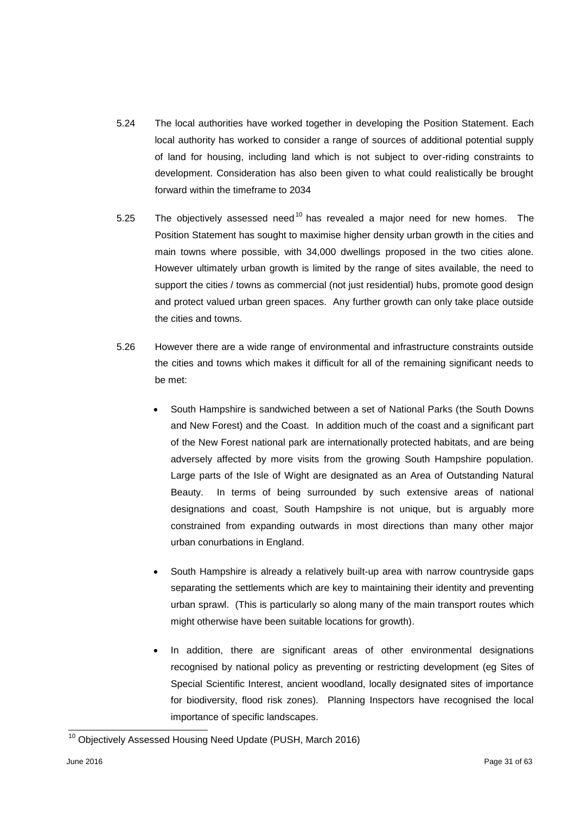- 5.24 The local authorities have worked together in developing the Position Statement. Each local authority has worked to consider a range of sources of additional potential supply of land for housing, including land which is not subject to over-riding constraints to development. Consideration has also been given to what could realistically be brought forward within the timeframe to 2034
- 5.25 The objectively assessed need<sup>10</sup> has revealed a major need for new homes. The Position Statement has sought to maximise higher density urban growth in the cities and main towns where possible, with 34,000 dwellings proposed in the two cities alone. However ultimately urban growth is limited by the range of sites available, the need to support the cities / towns as commercial (not just residential) hubs, promote good design and protect valued urban green spaces. Any further growth can only take place outside the cities and towns.
- 5.26 However there are a wide range of environmental and infrastructure constraints outside the cities and towns which makes it difficult for all of the remaining significant needs to be met:
	- South Hampshire is sandwiched between a set of National Parks (the South Downs and New Forest) and the Coast. In addition much of the coast and a significant part of the New Forest national park are internationally protected habitats, and are being adversely affected by more visits from the growing South Hampshire population. Large parts of the Isle of Wight are designated as an Area of Outstanding Natural Beauty. In terms of being surrounded by such extensive areas of national designations and coast, South Hampshire is not unique, but is arguably more constrained from expanding outwards in most directions than many other major urban conurbations in England.
	- South Hampshire is already a relatively built-up area with narrow countryside gaps separating the settlements which are key to maintaining their identity and preventing urban sprawl. (This is particularly so along many of the main transport routes which might otherwise have been suitable locations for growth).
	- In addition, there are significant areas of other environmental designations recognised by national policy as preventing or restricting development (eg Sites of Special Scientific Interest, ancient woodland, locally designated sites of importance for biodiversity, flood risk zones). Planning Inspectors have recognised the local importance of specific landscapes.

l

 $10$  Objectively Assessed Housing Need Update (PUSH, March 2016)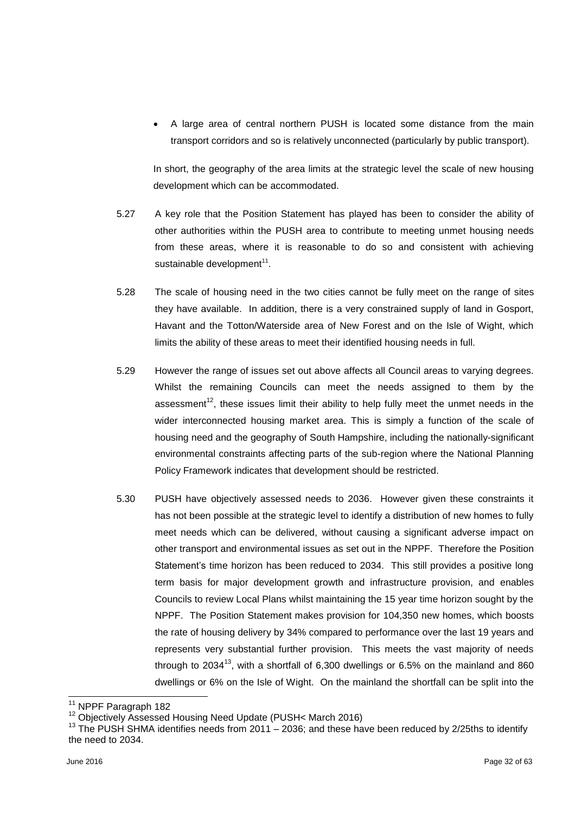A large area of central northern PUSH is located some distance from the main transport corridors and so is relatively unconnected (particularly by public transport).

In short, the geography of the area limits at the strategic level the scale of new housing development which can be accommodated.

- 5.27 A key role that the Position Statement has played has been to consider the ability of other authorities within the PUSH area to contribute to meeting unmet housing needs from these areas, where it is reasonable to do so and consistent with achieving sustainable development<sup>11</sup>.
- 5.28 The scale of housing need in the two cities cannot be fully meet on the range of sites they have available. In addition, there is a very constrained supply of land in Gosport, Havant and the Totton/Waterside area of New Forest and on the Isle of Wight, which limits the ability of these areas to meet their identified housing needs in full.
- 5.29 However the range of issues set out above affects all Council areas to varying degrees. Whilst the remaining Councils can meet the needs assigned to them by the assessment<sup>12</sup>, these issues limit their ability to help fully meet the unmet needs in the wider interconnected housing market area. This is simply a function of the scale of housing need and the geography of South Hampshire, including the nationally-significant environmental constraints affecting parts of the sub-region where the National Planning Policy Framework indicates that development should be restricted.
- 5.30 PUSH have objectively assessed needs to 2036. However given these constraints it has not been possible at the strategic level to identify a distribution of new homes to fully meet needs which can be delivered, without causing a significant adverse impact on other transport and environmental issues as set out in the NPPF. Therefore the Position Statement's time horizon has been reduced to 2034. This still provides a positive long term basis for major development growth and infrastructure provision, and enables Councils to review Local Plans whilst maintaining the 15 year time horizon sought by the NPPF. The Position Statement makes provision for 104,350 new homes, which boosts the rate of housing delivery by 34% compared to performance over the last 19 years and represents very substantial further provision. This meets the vast majority of needs through to  $2034^{13}$ , with a shortfall of 6,300 dwellings or 6.5% on the mainland and 860 dwellings or 6% on the Isle of Wight. On the mainland the shortfall can be split into the

l  $11$  NPPF Paragraph 182

<sup>&</sup>lt;sup>12</sup> Objectively Assessed Housing Need Update (PUSH< March 2016)

<sup>&</sup>lt;sup>13</sup> The PUSH SHMA identifies needs from 2011 – 2036; and these have been reduced by 2/25ths to identify the need to 2034.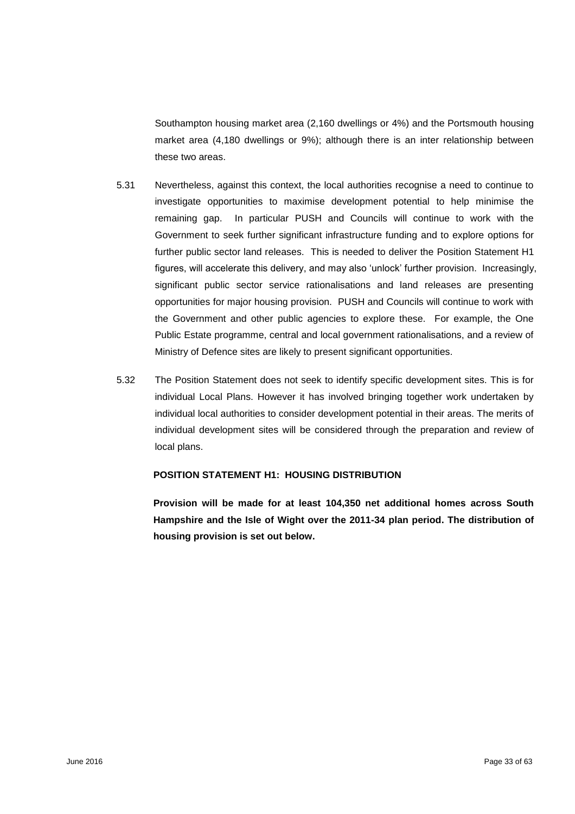Southampton housing market area (2,160 dwellings or 4%) and the Portsmouth housing market area (4,180 dwellings or 9%); although there is an inter relationship between these two areas.

- 5.31 Nevertheless, against this context, the local authorities recognise a need to continue to investigate opportunities to maximise development potential to help minimise the remaining gap. In particular PUSH and Councils will continue to work with the Government to seek further significant infrastructure funding and to explore options for further public sector land releases. This is needed to deliver the Position Statement H1 figures, will accelerate this delivery, and may also 'unlock' further provision. Increasingly, significant public sector service rationalisations and land releases are presenting opportunities for major housing provision. PUSH and Councils will continue to work with the Government and other public agencies to explore these. For example, the One Public Estate programme, central and local government rationalisations, and a review of Ministry of Defence sites are likely to present significant opportunities.
- 5.32 The Position Statement does not seek to identify specific development sites. This is for individual Local Plans. However it has involved bringing together work undertaken by individual local authorities to consider development potential in their areas. The merits of individual development sites will be considered through the preparation and review of local plans.

#### **POSITION STATEMENT H1: HOUSING DISTRIBUTION**

**Provision will be made for at least 104,350 net additional homes across South Hampshire and the Isle of Wight over the 2011-34 plan period. The distribution of housing provision is set out below.**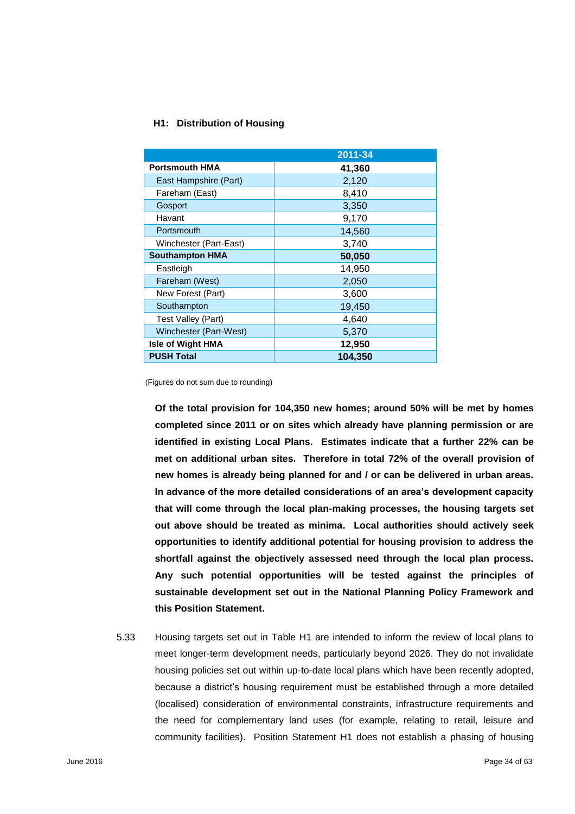## **H1: Distribution of Housing**

|                          | 2011-34 |
|--------------------------|---------|
| <b>Portsmouth HMA</b>    | 41,360  |
| East Hampshire (Part)    | 2,120   |
| Fareham (East)           | 8,410   |
| Gosport                  | 3,350   |
| Havant                   | 9,170   |
| Portsmouth               | 14,560  |
| Winchester (Part-East)   | 3,740   |
| <b>Southampton HMA</b>   | 50,050  |
| Eastleigh                | 14,950  |
| Fareham (West)           | 2,050   |
| New Forest (Part)        | 3,600   |
| Southampton              | 19,450  |
| Test Valley (Part)       | 4,640   |
| Winchester (Part-West)   | 5,370   |
| <b>Isle of Wight HMA</b> | 12,950  |
| <b>PUSH Total</b>        | 104,350 |

(Figures do not sum due to rounding)

**Of the total provision for 104,350 new homes; around 50% will be met by homes completed since 2011 or on sites which already have planning permission or are identified in existing Local Plans. Estimates indicate that a further 22% can be met on additional urban sites. Therefore in total 72% of the overall provision of new homes is already being planned for and / or can be delivered in urban areas. In advance of the more detailed considerations of an area's development capacity that will come through the local plan-making processes, the housing targets set out above should be treated as minima. Local authorities should actively seek opportunities to identify additional potential for housing provision to address the shortfall against the objectively assessed need through the local plan process. Any such potential opportunities will be tested against the principles of sustainable development set out in the National Planning Policy Framework and this Position Statement.**

5.33 Housing targets set out in Table H1 are intended to inform the review of local plans to meet longer-term development needs, particularly beyond 2026. They do not invalidate housing policies set out within up-to-date local plans which have been recently adopted, because a district's housing requirement must be established through a more detailed (localised) consideration of environmental constraints, infrastructure requirements and the need for complementary land uses (for example, relating to retail, leisure and community facilities). Position Statement H1 does not establish a phasing of housing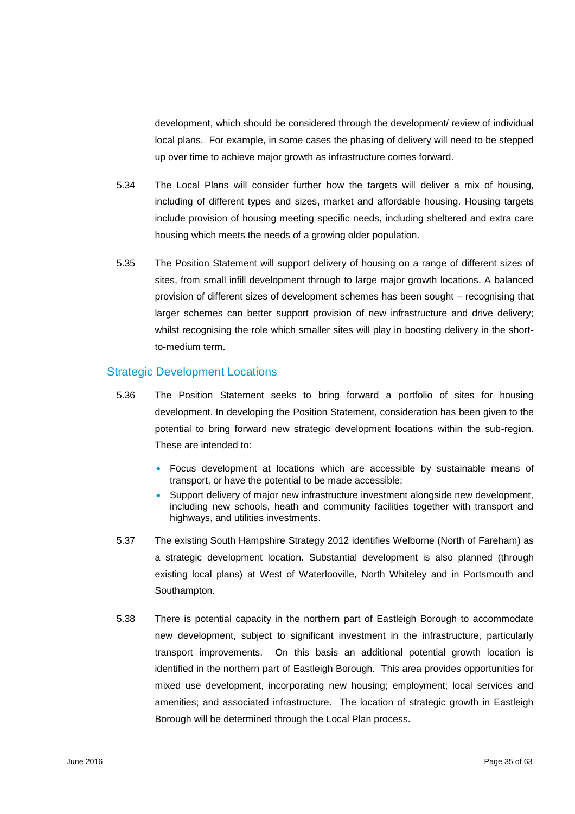development, which should be considered through the development/ review of individual local plans. For example, in some cases the phasing of delivery will need to be stepped up over time to achieve major growth as infrastructure comes forward.

- 5.34 The Local Plans will consider further how the targets will deliver a mix of housing, including of different types and sizes, market and affordable housing. Housing targets include provision of housing meeting specific needs, including sheltered and extra care housing which meets the needs of a growing older population.
- 5.35 The Position Statement will support delivery of housing on a range of different sizes of sites, from small infill development through to large major growth locations. A balanced provision of different sizes of development schemes has been sought – recognising that larger schemes can better support provision of new infrastructure and drive delivery; whilst recognising the role which smaller sites will play in boosting delivery in the shortto-medium term.

## Strategic Development Locations

- 5.36 The Position Statement seeks to bring forward a portfolio of sites for housing development. In developing the Position Statement, consideration has been given to the potential to bring forward new strategic development locations within the sub-region. These are intended to:
	- Focus development at locations which are accessible by sustainable means of transport, or have the potential to be made accessible;
	- Support delivery of major new infrastructure investment alongside new development, including new schools, heath and community facilities together with transport and highways, and utilities investments.
- 5.37 The existing South Hampshire Strategy 2012 identifies Welborne (North of Fareham) as a strategic development location. Substantial development is also planned (through existing local plans) at West of Waterlooville, North Whiteley and in Portsmouth and Southampton.
- 5.38 There is potential capacity in the northern part of Eastleigh Borough to accommodate new development, subject to significant investment in the infrastructure, particularly transport improvements. On this basis an additional potential growth location is identified in the northern part of Eastleigh Borough. This area provides opportunities for mixed use development, incorporating new housing; employment; local services and amenities; and associated infrastructure. The location of strategic growth in Eastleigh Borough will be determined through the Local Plan process.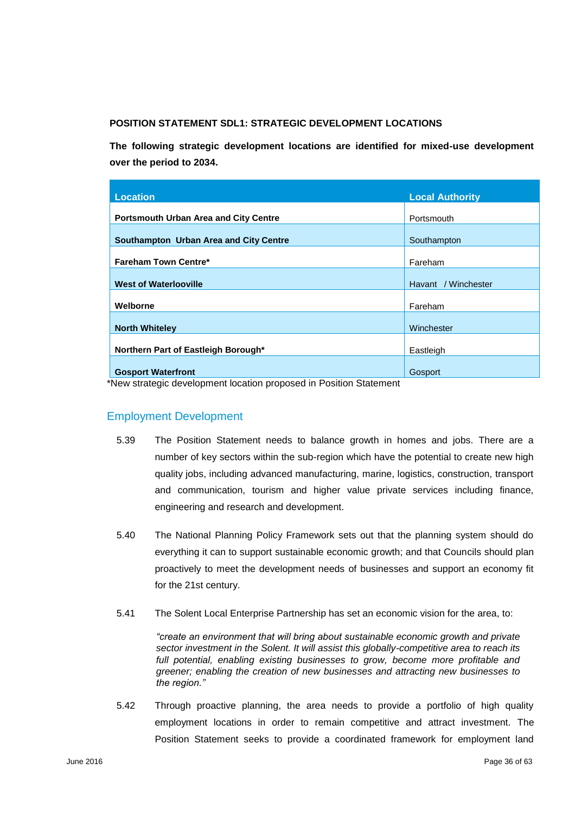#### **POSITION STATEMENT SDL1: STRATEGIC DEVELOPMENT LOCATIONS**

**The following strategic development locations are identified for mixed-use development over the period to 2034.** 

| Location                                     | <b>Local Authority</b> |
|----------------------------------------------|------------------------|
|                                              |                        |
| <b>Portsmouth Urban Area and City Centre</b> | Portsmouth             |
| Southampton Urban Area and City Centre       | Southampton            |
| <b>Fareham Town Centre*</b>                  | Fareham                |
| <b>West of Waterlooville</b>                 | Havant / Winchester    |
| Welborne                                     | Fareham                |
| <b>North Whiteley</b>                        | Winchester             |
| Northern Part of Eastleigh Borough*          | Eastleigh              |
| <b>Gosport Waterfront</b>                    | Gosport                |

\*New strategic development location proposed in Position Statement

## Employment Development

- 5.39 The Position Statement needs to balance growth in homes and jobs. There are a number of key sectors within the sub-region which have the potential to create new high quality jobs, including advanced manufacturing, marine, logistics, construction, transport and communication, tourism and higher value private services including finance, engineering and research and development.
- 5.40 The National Planning Policy Framework sets out that the planning system should do everything it can to support sustainable economic growth; and that Councils should plan proactively to meet the development needs of businesses and support an economy fit for the 21st century.
- 5.41 The Solent Local Enterprise Partnership has set an economic vision for the area, to:

*"create an environment that will bring about sustainable economic growth and private sector investment in the Solent. It will assist this globally-competitive area to reach its*  full potential, enabling existing businesses to grow, become more profitable and *greener; enabling the creation of new businesses and attracting new businesses to the region."* 

5.42 Through proactive planning, the area needs to provide a portfolio of high quality employment locations in order to remain competitive and attract investment. The Position Statement seeks to provide a coordinated framework for employment land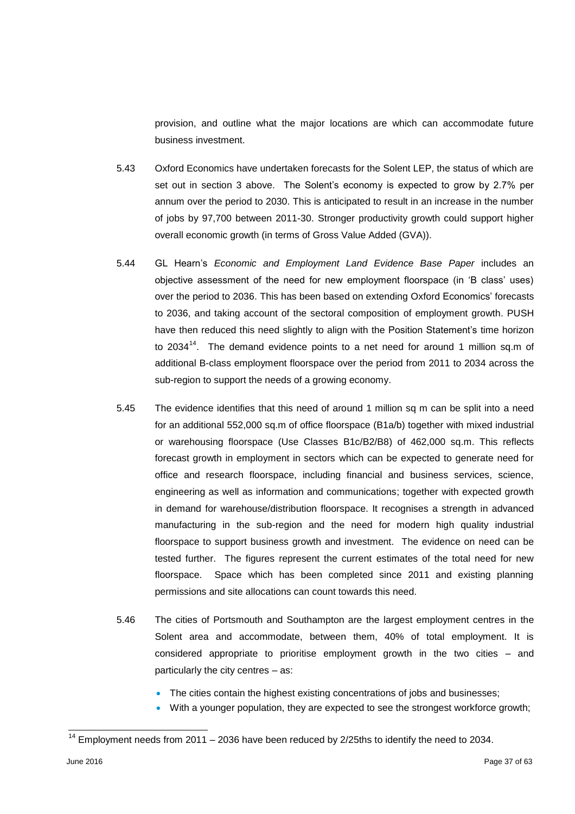provision, and outline what the major locations are which can accommodate future business investment.

- 5.43 Oxford Economics have undertaken forecasts for the Solent LEP, the status of which are set out in section 3 above. The Solent's economy is expected to grow by 2.7% per annum over the period to 2030. This is anticipated to result in an increase in the number of jobs by 97,700 between 2011-30. Stronger productivity growth could support higher overall economic growth (in terms of Gross Value Added (GVA)).
- 5.44 GL Hearn's *Economic and Employment Land Evidence Base Paper* includes an objective assessment of the need for new employment floorspace (in 'B class' uses) over the period to 2036. This has been based on extending Oxford Economics' forecasts to 2036, and taking account of the sectoral composition of employment growth. PUSH have then reduced this need slightly to align with the Position Statement's time horizon to 2034 $^{14}$ . The demand evidence points to a net need for around 1 million sq.m of additional B-class employment floorspace over the period from 2011 to 2034 across the sub-region to support the needs of a growing economy.
- 5.45 The evidence identifies that this need of around 1 million sq m can be split into a need for an additional 552,000 sq.m of office floorspace (B1a/b) together with mixed industrial or warehousing floorspace (Use Classes B1c/B2/B8) of 462,000 sq.m. This reflects forecast growth in employment in sectors which can be expected to generate need for office and research floorspace, including financial and business services, science, engineering as well as information and communications; together with expected growth in demand for warehouse/distribution floorspace. It recognises a strength in advanced manufacturing in the sub-region and the need for modern high quality industrial floorspace to support business growth and investment. The evidence on need can be tested further. The figures represent the current estimates of the total need for new floorspace. Space which has been completed since 2011 and existing planning permissions and site allocations can count towards this need.
- 5.46 The cities of Portsmouth and Southampton are the largest employment centres in the Solent area and accommodate, between them, 40% of total employment. It is considered appropriate to prioritise employment growth in the two cities – and particularly the city centres – as:
	- The cities contain the highest existing concentrations of jobs and businesses;
	- With a younger population, they are expected to see the strongest workforce growth;

l

 $14$  Employment needs from 2011 – 2036 have been reduced by 2/25ths to identify the need to 2034.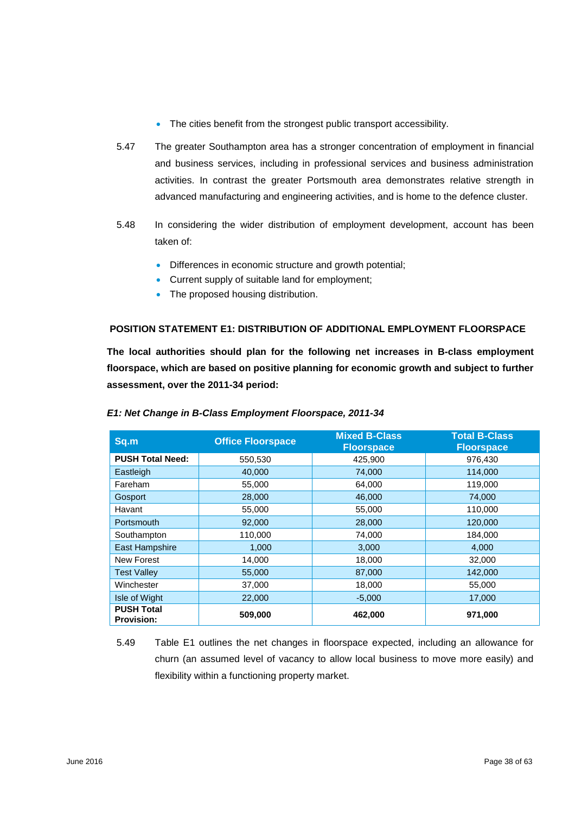- The cities benefit from the strongest public transport accessibility.
- 5.47 The greater Southampton area has a stronger concentration of employment in financial and business services, including in professional services and business administration activities. In contrast the greater Portsmouth area demonstrates relative strength in advanced manufacturing and engineering activities, and is home to the defence cluster.
- 5.48 In considering the wider distribution of employment development, account has been taken of:
	- Differences in economic structure and growth potential;
	- Current supply of suitable land for employment;
	- The proposed housing distribution.

## **POSITION STATEMENT E1: DISTRIBUTION OF ADDITIONAL EMPLOYMENT FLOORSPACE**

**The local authorities should plan for the following net increases in B-class employment floorspace, which are based on positive planning for economic growth and subject to further assessment, over the 2011-34 period:** 

| Sq.m                                   | <b>Office Floorspace</b> | <b>Mixed B-Class</b><br><b>Floorspace</b> | <b>Total B-Class</b><br><b>Floorspace</b> |
|----------------------------------------|--------------------------|-------------------------------------------|-------------------------------------------|
| <b>PUSH Total Need:</b>                | 550,530                  | 425,900                                   | 976,430                                   |
| Eastleigh                              | 40,000                   | 74,000                                    | 114,000                                   |
| Fareham                                | 55,000                   | 64,000                                    | 119,000                                   |
| Gosport                                | 28,000                   | 46,000                                    | 74,000                                    |
| Havant                                 | 55,000                   | 55,000                                    | 110,000                                   |
| <b>Portsmouth</b>                      | 92,000                   | 28,000                                    | 120,000                                   |
| Southampton                            | 110,000                  | 74,000                                    | 184,000                                   |
| <b>East Hampshire</b>                  | 1,000                    | 3,000                                     | 4,000                                     |
| <b>New Forest</b>                      | 14,000                   | 18,000                                    | 32,000                                    |
| <b>Test Valley</b>                     | 55,000                   | 87,000                                    | 142,000                                   |
| Winchester                             | 37,000                   | 18,000                                    | 55,000                                    |
| Isle of Wight                          | 22,000                   | $-5.000$                                  | 17,000                                    |
| <b>PUSH Total</b><br><b>Provision:</b> | 509,000                  | 462,000                                   | 971,000                                   |

#### *E1: Net Change in B-Class Employment Floorspace, 2011-34*

5.49 Table E1 outlines the net changes in floorspace expected, including an allowance for churn (an assumed level of vacancy to allow local business to move more easily) and flexibility within a functioning property market.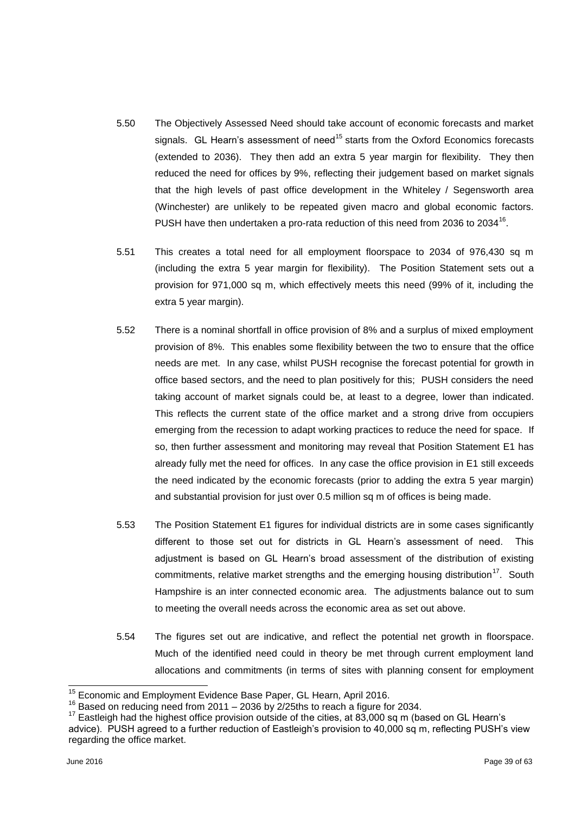- 5.50 The Objectively Assessed Need should take account of economic forecasts and market signals. GL Hearn's assessment of need<sup>15</sup> starts from the Oxford Economics forecasts (extended to 2036). They then add an extra 5 year margin for flexibility. They then reduced the need for offices by 9%, reflecting their judgement based on market signals that the high levels of past office development in the Whiteley / Segensworth area (Winchester) are unlikely to be repeated given macro and global economic factors. PUSH have then undertaken a pro-rata reduction of this need from 2036 to 2034 $^{16}$ .
- 5.51 This creates a total need for all employment floorspace to 2034 of 976,430 sq m (including the extra 5 year margin for flexibility). The Position Statement sets out a provision for 971,000 sq m, which effectively meets this need (99% of it, including the extra 5 year margin).
- 5.52 There is a nominal shortfall in office provision of 8% and a surplus of mixed employment provision of 8%. This enables some flexibility between the two to ensure that the office needs are met. In any case, whilst PUSH recognise the forecast potential for growth in office based sectors, and the need to plan positively for this; PUSH considers the need taking account of market signals could be, at least to a degree, lower than indicated. This reflects the current state of the office market and a strong drive from occupiers emerging from the recession to adapt working practices to reduce the need for space. If so, then further assessment and monitoring may reveal that Position Statement E1 has already fully met the need for offices. In any case the office provision in E1 still exceeds the need indicated by the economic forecasts (prior to adding the extra 5 year margin) and substantial provision for just over 0.5 million sq m of offices is being made.
- 5.53 The Position Statement E1 figures for individual districts are in some cases significantly different to those set out for districts in GL Hearn's assessment of need. This adjustment is based on GL Hearn's broad assessment of the distribution of existing commitments, relative market strengths and the emerging housing distribution<sup>17</sup>. South Hampshire is an inter connected economic area. The adjustments balance out to sum to meeting the overall needs across the economic area as set out above.
- 5.54 The figures set out are indicative, and reflect the potential net growth in floorspace. Much of the identified need could in theory be met through current employment land allocations and commitments (in terms of sites with planning consent for employment

 $\overline{\phantom{a}}$ 

<sup>&</sup>lt;sup>15</sup> Economic and Employment Evidence Base Paper, GL Hearn, April 2016.

<sup>16</sup> Based on reducing need from 2011 – 2036 by 2/25ths to reach a figure for 2034.

 $17$  Eastleigh had the highest office provision outside of the cities, at 83,000 sq m (based on GL Hearn's advice). PUSH agreed to a further reduction of Eastleigh's provision to 40,000 sq m, reflecting PUSH's view regarding the office market.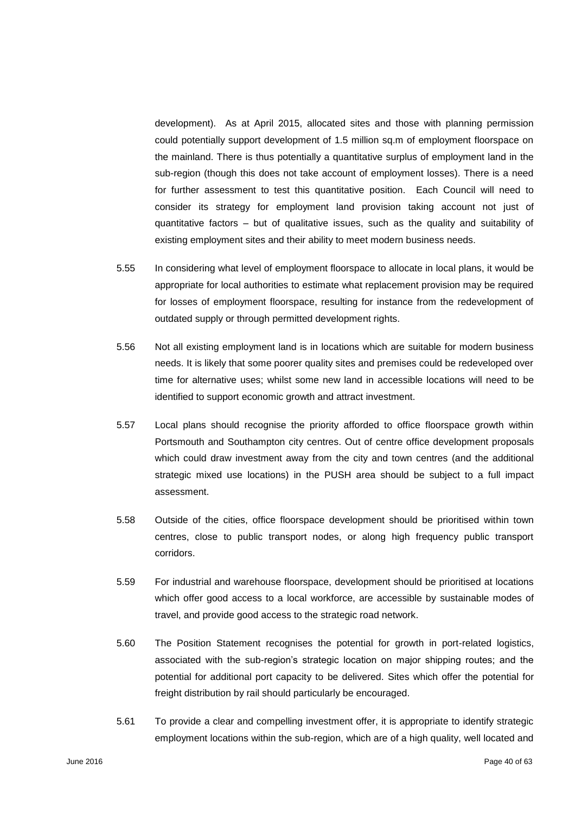development). As at April 2015, allocated sites and those with planning permission could potentially support development of 1.5 million sq.m of employment floorspace on the mainland. There is thus potentially a quantitative surplus of employment land in the sub-region (though this does not take account of employment losses). There is a need for further assessment to test this quantitative position. Each Council will need to consider its strategy for employment land provision taking account not just of quantitative factors – but of qualitative issues, such as the quality and suitability of existing employment sites and their ability to meet modern business needs.

- 5.55 In considering what level of employment floorspace to allocate in local plans, it would be appropriate for local authorities to estimate what replacement provision may be required for losses of employment floorspace, resulting for instance from the redevelopment of outdated supply or through permitted development rights.
- 5.56 Not all existing employment land is in locations which are suitable for modern business needs. It is likely that some poorer quality sites and premises could be redeveloped over time for alternative uses; whilst some new land in accessible locations will need to be identified to support economic growth and attract investment.
- 5.57 Local plans should recognise the priority afforded to office floorspace growth within Portsmouth and Southampton city centres. Out of centre office development proposals which could draw investment away from the city and town centres (and the additional strategic mixed use locations) in the PUSH area should be subject to a full impact assessment.
- 5.58 Outside of the cities, office floorspace development should be prioritised within town centres, close to public transport nodes, or along high frequency public transport corridors.
- 5.59 For industrial and warehouse floorspace, development should be prioritised at locations which offer good access to a local workforce, are accessible by sustainable modes of travel, and provide good access to the strategic road network.
- 5.60 The Position Statement recognises the potential for growth in port-related logistics, associated with the sub-region's strategic location on major shipping routes; and the potential for additional port capacity to be delivered. Sites which offer the potential for freight distribution by rail should particularly be encouraged.
- 5.61 To provide a clear and compelling investment offer, it is appropriate to identify strategic employment locations within the sub-region, which are of a high quality, well located and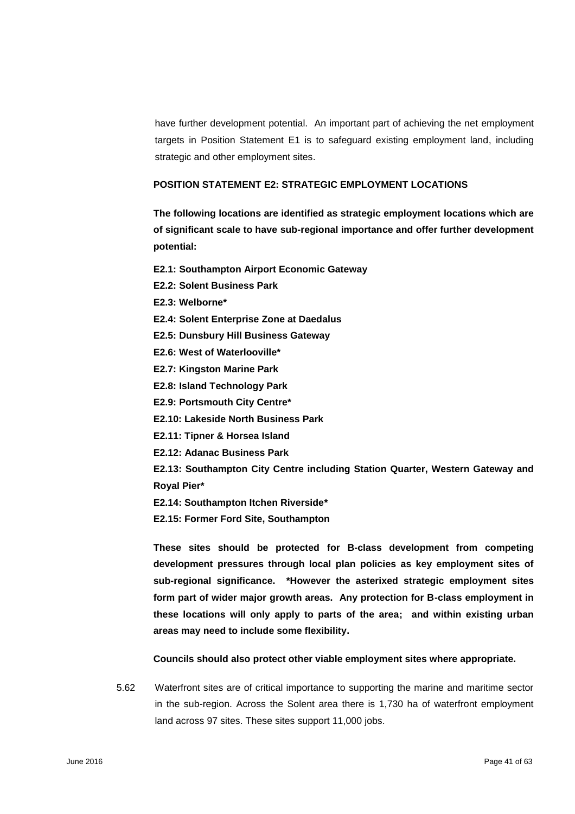have further development potential. An important part of achieving the net employment targets in Position Statement E1 is to safeguard existing employment land, including strategic and other employment sites.

#### **POSITION STATEMENT E2: STRATEGIC EMPLOYMENT LOCATIONS**

**The following locations are identified as strategic employment locations which are of significant scale to have sub-regional importance and offer further development potential:** 

- **E2.1: Southampton Airport Economic Gateway**
- **E2.2: Solent Business Park**
- **E2.3: Welborne\***
- **E2.4: Solent Enterprise Zone at Daedalus**
- **E2.5: Dunsbury Hill Business Gateway**
- **E2.6: West of Waterlooville\***
- **E2.7: Kingston Marine Park**
- **E2.8: Island Technology Park**
- **E2.9: Portsmouth City Centre\***
- **E2.10: Lakeside North Business Park**
- **E2.11: Tipner & Horsea Island**
- **E2.12: Adanac Business Park**

**E2.13: Southampton City Centre including Station Quarter, Western Gateway and Royal Pier\*** 

**E2.14: Southampton Itchen Riverside\***

**E2.15: Former Ford Site, Southampton** 

**These sites should be protected for B-class development from competing development pressures through local plan policies as key employment sites of sub-regional significance. \*However the asterixed strategic employment sites form part of wider major growth areas. Any protection for B-class employment in these locations will only apply to parts of the area; and within existing urban areas may need to include some flexibility.**

**Councils should also protect other viable employment sites where appropriate.**

5.62 Waterfront sites are of critical importance to supporting the marine and maritime sector in the sub-region. Across the Solent area there is 1,730 ha of waterfront employment land across 97 sites. These sites support 11,000 jobs.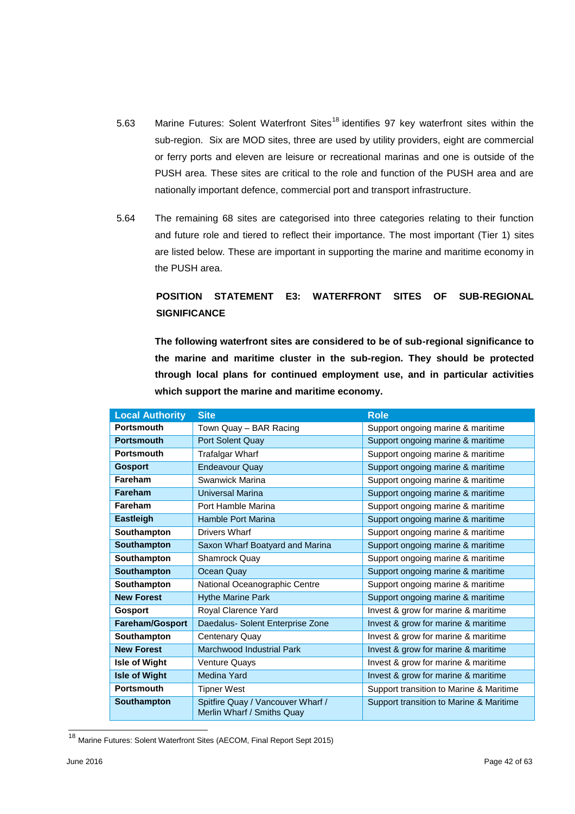- 5.63 Marine Futures: Solent Waterfront Sites<sup>18</sup> identifies 97 key waterfront sites within the sub-region. Six are MOD sites, three are used by utility providers, eight are commercial or ferry ports and eleven are leisure or recreational marinas and one is outside of the PUSH area. These sites are critical to the role and function of the PUSH area and are nationally important defence, commercial port and transport infrastructure.
- 5.64 The remaining 68 sites are categorised into three categories relating to their function and future role and tiered to reflect their importance. The most important (Tier 1) sites are listed below. These are important in supporting the marine and maritime economy in the PUSH area.

# **POSITION STATEMENT E3: WATERFRONT SITES OF SUB-REGIONAL SIGNIFICANCE**

**The following waterfront sites are considered to be of sub-regional significance to the marine and maritime cluster in the sub-region. They should be protected through local plans for continued employment use, and in particular activities which support the marine and maritime economy.**

| <b>Local Authority</b> | <b>Site</b>                                                     | <b>Role</b>                             |
|------------------------|-----------------------------------------------------------------|-----------------------------------------|
| <b>Portsmouth</b>      | Town Quay - BAR Racing                                          | Support ongoing marine & maritime       |
| <b>Portsmouth</b>      | Port Solent Quay                                                | Support ongoing marine & maritime       |
| <b>Portsmouth</b>      | Trafalgar Wharf                                                 | Support ongoing marine & maritime       |
| <b>Gosport</b>         | <b>Endeavour Quay</b>                                           | Support ongoing marine & maritime       |
| Fareham                | Swanwick Marina                                                 | Support ongoing marine & maritime       |
| <b>Fareham</b>         | <b>Universal Marina</b>                                         | Support ongoing marine & maritime       |
| Fareham                | Port Hamble Marina                                              | Support ongoing marine & maritime       |
| <b>Eastleigh</b>       | Hamble Port Marina                                              | Support ongoing marine & maritime       |
| Southampton            | Drivers Wharf                                                   | Support ongoing marine & maritime       |
| <b>Southampton</b>     | Saxon Wharf Boatyard and Marina                                 | Support ongoing marine & maritime       |
| Southampton            | Shamrock Quay                                                   | Support ongoing marine & maritime       |
| <b>Southampton</b>     | Ocean Quay                                                      | Support ongoing marine & maritime       |
| Southampton            | National Oceanographic Centre                                   | Support ongoing marine & maritime       |
| <b>New Forest</b>      | <b>Hythe Marine Park</b>                                        | Support ongoing marine & maritime       |
| <b>Gosport</b>         | Royal Clarence Yard                                             | Invest & grow for marine & maritime     |
| <b>Fareham/Gosport</b> | Daedalus- Solent Enterprise Zone                                | Invest & grow for marine & maritime     |
| Southampton            | Centenary Quay                                                  | Invest & grow for marine & maritime     |
| <b>New Forest</b>      | Marchwood Industrial Park                                       | Invest & grow for marine & maritime     |
| Isle of Wight          | Venture Quays                                                   | Invest & grow for marine & maritime     |
| <b>Isle of Wight</b>   | Medina Yard                                                     | Invest & grow for marine & maritime     |
| <b>Portsmouth</b>      | <b>Tipner West</b>                                              | Support transition to Marine & Maritime |
| Southampton            | Spitfire Quay / Vancouver Wharf /<br>Merlin Wharf / Smiths Quay | Support transition to Marine & Maritime |

<sup>&</sup>lt;sup>18</sup> Marine Futures: Solent Waterfront Sites (AECOM, Final Report Sept 2015)

l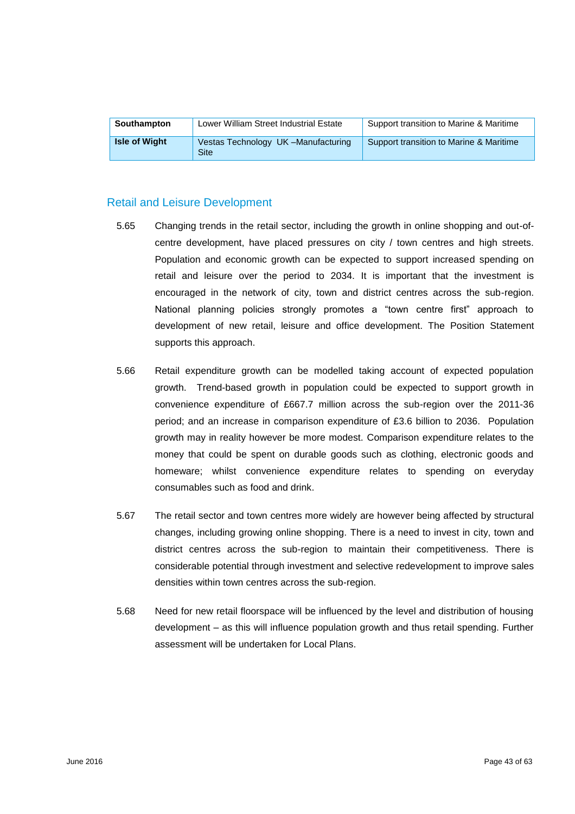| <b>Southampton</b>   | Lower William Street Industrial Estate     | Support transition to Marine & Maritime |
|----------------------|--------------------------------------------|-----------------------------------------|
| <b>Isle of Wight</b> | Vestas Technology UK-Manufacturing<br>Site | Support transition to Marine & Maritime |

## Retail and Leisure Development

- 5.65 Changing trends in the retail sector, including the growth in online shopping and out-ofcentre development, have placed pressures on city / town centres and high streets. Population and economic growth can be expected to support increased spending on retail and leisure over the period to 2034. It is important that the investment is encouraged in the network of city, town and district centres across the sub-region. National planning policies strongly promotes a "town centre first" approach to development of new retail, leisure and office development. The Position Statement supports this approach.
- 5.66 Retail expenditure growth can be modelled taking account of expected population growth. Trend-based growth in population could be expected to support growth in convenience expenditure of £667.7 million across the sub-region over the 2011-36 period; and an increase in comparison expenditure of £3.6 billion to 2036. Population growth may in reality however be more modest. Comparison expenditure relates to the money that could be spent on durable goods such as clothing, electronic goods and homeware; whilst convenience expenditure relates to spending on everyday consumables such as food and drink.
- 5.67 The retail sector and town centres more widely are however being affected by structural changes, including growing online shopping. There is a need to invest in city, town and district centres across the sub-region to maintain their competitiveness. There is considerable potential through investment and selective redevelopment to improve sales densities within town centres across the sub-region.
- 5.68 Need for new retail floorspace will be influenced by the level and distribution of housing development – as this will influence population growth and thus retail spending. Further assessment will be undertaken for Local Plans.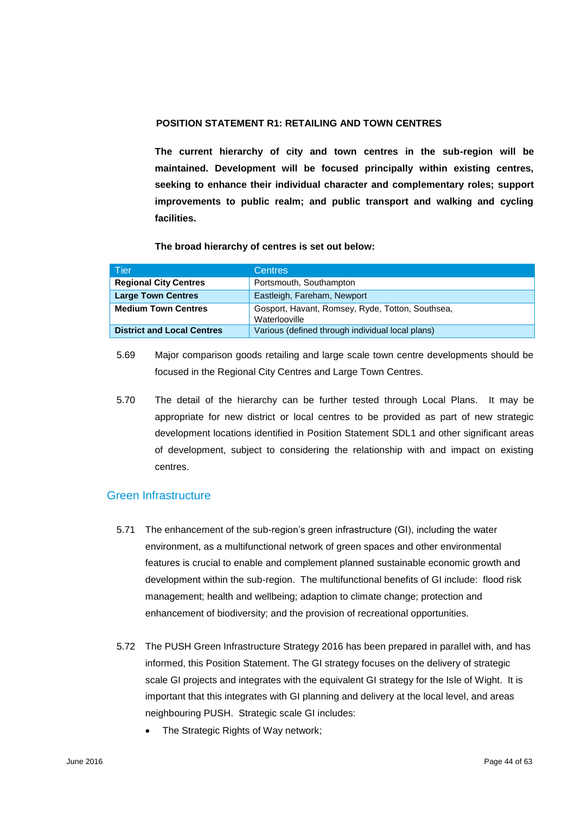## **POSITION STATEMENT R1: RETAILING AND TOWN CENTRES**

**The current hierarchy of city and town centres in the sub-region will be maintained. Development will be focused principally within existing centres, seeking to enhance their individual character and complementary roles; support improvements to public realm; and public transport and walking and cycling facilities.** 

#### **The broad hierarchy of centres is set out below:**

| Tier                              | <b>Centres</b>                                                    |
|-----------------------------------|-------------------------------------------------------------------|
| <b>Regional City Centres</b>      | Portsmouth, Southampton                                           |
| <b>Large Town Centres</b>         | Eastleigh, Fareham, Newport                                       |
| <b>Medium Town Centres</b>        | Gosport, Havant, Romsey, Ryde, Totton, Southsea,<br>Waterlooville |
| <b>District and Local Centres</b> | Various (defined through individual local plans)                  |

- 5.69 Major comparison goods retailing and large scale town centre developments should be focused in the Regional City Centres and Large Town Centres.
- 5.70 The detail of the hierarchy can be further tested through Local Plans. It may be appropriate for new district or local centres to be provided as part of new strategic development locations identified in Position Statement SDL1 and other significant areas of development, subject to considering the relationship with and impact on existing centres.

## Green Infrastructure

- 5.71 The enhancement of the sub-region's green infrastructure (GI), including the water environment, as a multifunctional network of green spaces and other environmental features is crucial to enable and complement planned sustainable economic growth and development within the sub-region. The multifunctional benefits of GI include: flood risk management; health and wellbeing; adaption to climate change; protection and enhancement of biodiversity; and the provision of recreational opportunities.
- 5.72 The PUSH Green Infrastructure Strategy 2016 has been prepared in parallel with, and has informed, this Position Statement. The GI strategy focuses on the delivery of strategic scale GI projects and integrates with the equivalent GI strategy for the Isle of Wight. It is important that this integrates with GI planning and delivery at the local level, and areas neighbouring PUSH. Strategic scale GI includes:
	- The Strategic Rights of Way network;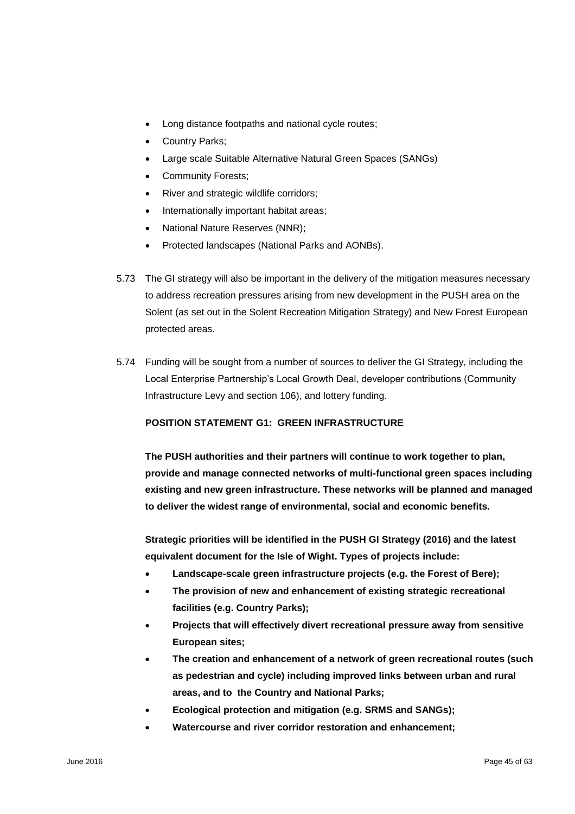- Long distance footpaths and national cycle routes;
- Country Parks;
- Large scale Suitable Alternative Natural Green Spaces (SANGs)
- Community Forests;
- River and strategic wildlife corridors;
- Internationally important habitat areas;
- National Nature Reserves (NNR);
- Protected landscapes (National Parks and AONBs).
- 5.73 The GI strategy will also be important in the delivery of the mitigation measures necessary to address recreation pressures arising from new development in the PUSH area on the Solent (as set out in the Solent Recreation Mitigation Strategy) and New Forest European protected areas.
- 5.74 Funding will be sought from a number of sources to deliver the GI Strategy, including the Local Enterprise Partnership's Local Growth Deal, developer contributions (Community Infrastructure Levy and section 106), and lottery funding.

## **POSITION STATEMENT G1: GREEN INFRASTRUCTURE**

**The PUSH authorities and their partners will continue to work together to plan, provide and manage connected networks of multi-functional green spaces including existing and new green infrastructure. These networks will be planned and managed to deliver the widest range of environmental, social and economic benefits.**

**Strategic priorities will be identified in the PUSH GI Strategy (2016) and the latest equivalent document for the Isle of Wight. Types of projects include:** 

- **Landscape-scale green infrastructure projects (e.g. the Forest of Bere);**
- **The provision of new and enhancement of existing strategic recreational facilities (e.g. Country Parks);**
- **Projects that will effectively divert recreational pressure away from sensitive European sites;**
- **The creation and enhancement of a network of green recreational routes (such as pedestrian and cycle) including improved links between urban and rural areas, and to the Country and National Parks;**
- **Ecological protection and mitigation (e.g. SRMS and SANGs);**
- **Watercourse and river corridor restoration and enhancement;**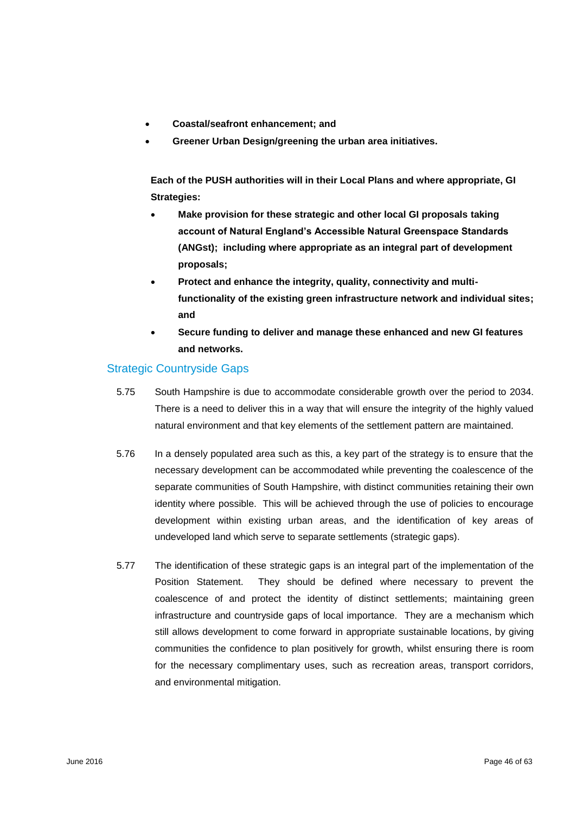- **Coastal/seafront enhancement; and**
- **Greener Urban Design/greening the urban area initiatives.**

**Each of the PUSH authorities will in their Local Plans and where appropriate, GI Strategies:**

- **Make provision for these strategic and other local GI proposals taking account of Natural England's Accessible Natural Greenspace Standards (ANGst); including where appropriate as an integral part of development proposals;**
- **Protect and enhance the integrity, quality, connectivity and multifunctionality of the existing green infrastructure network and individual sites; and**
- **Secure funding to deliver and manage these enhanced and new GI features and networks.**

## Strategic Countryside Gaps

- 5.75 South Hampshire is due to accommodate considerable growth over the period to 2034. There is a need to deliver this in a way that will ensure the integrity of the highly valued natural environment and that key elements of the settlement pattern are maintained.
- 5.76 In a densely populated area such as this, a key part of the strategy is to ensure that the necessary development can be accommodated while preventing the coalescence of the separate communities of South Hampshire, with distinct communities retaining their own identity where possible. This will be achieved through the use of policies to encourage development within existing urban areas, and the identification of key areas of undeveloped land which serve to separate settlements (strategic gaps).
- 5.77 The identification of these strategic gaps is an integral part of the implementation of the Position Statement. They should be defined where necessary to prevent the coalescence of and protect the identity of distinct settlements; maintaining green infrastructure and countryside gaps of local importance. They are a mechanism which still allows development to come forward in appropriate sustainable locations, by giving communities the confidence to plan positively for growth, whilst ensuring there is room for the necessary complimentary uses, such as recreation areas, transport corridors, and environmental mitigation.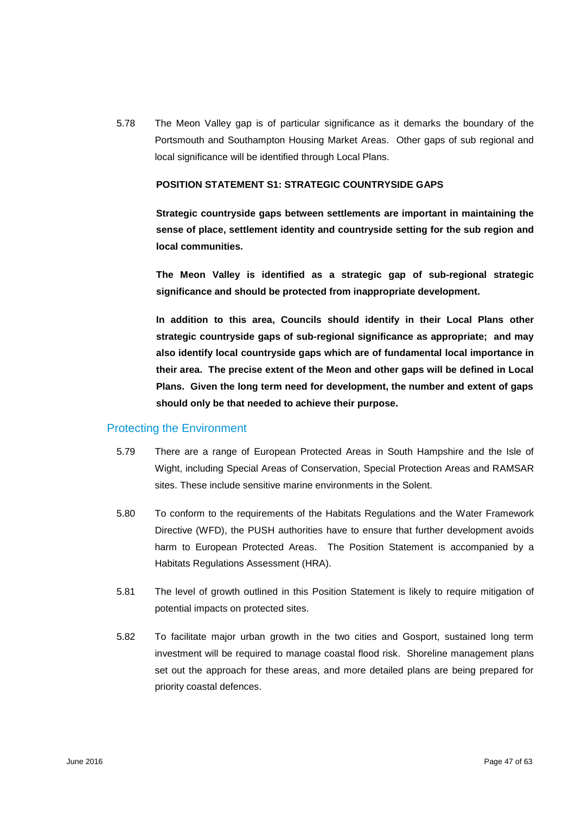5.78 The Meon Valley gap is of particular significance as it demarks the boundary of the Portsmouth and Southampton Housing Market Areas. Other gaps of sub regional and local significance will be identified through Local Plans.

#### **POSITION STATEMENT S1: STRATEGIC COUNTRYSIDE GAPS**

**Strategic countryside gaps between settlements are important in maintaining the sense of place, settlement identity and countryside setting for the sub region and local communities.** 

**The Meon Valley is identified as a strategic gap of sub-regional strategic significance and should be protected from inappropriate development.** 

**In addition to this area, Councils should identify in their Local Plans other strategic countryside gaps of sub-regional significance as appropriate; and may also identify local countryside gaps which are of fundamental local importance in their area. The precise extent of the Meon and other gaps will be defined in Local Plans. Given the long term need for development, the number and extent of gaps should only be that needed to achieve their purpose.**

#### Protecting the Environment

- 5.79 There are a range of European Protected Areas in South Hampshire and the Isle of Wight, including Special Areas of Conservation, Special Protection Areas and RAMSAR sites. These include sensitive marine environments in the Solent.
- 5.80 To conform to the requirements of the Habitats Regulations and the Water Framework Directive (WFD), the PUSH authorities have to ensure that further development avoids harm to European Protected Areas. The Position Statement is accompanied by a Habitats Regulations Assessment (HRA).
- 5.81 The level of growth outlined in this Position Statement is likely to require mitigation of potential impacts on protected sites.
- 5.82 To facilitate major urban growth in the two cities and Gosport, sustained long term investment will be required to manage coastal flood risk. Shoreline management plans set out the approach for these areas, and more detailed plans are being prepared for priority coastal defences.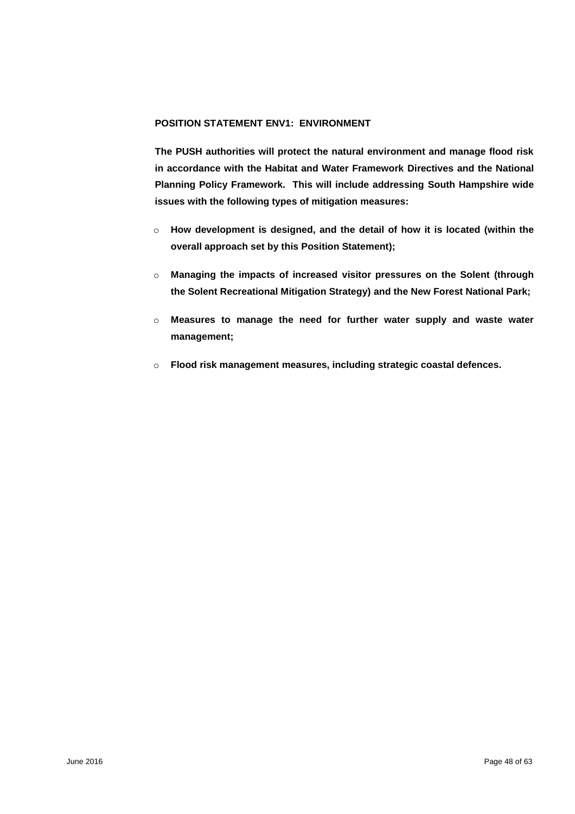## **POSITION STATEMENT ENV1: ENVIRONMENT**

**The PUSH authorities will protect the natural environment and manage flood risk in accordance with the Habitat and Water Framework Directives and the National Planning Policy Framework. This will include addressing South Hampshire wide issues with the following types of mitigation measures:**

- o **How development is designed, and the detail of how it is located (within the overall approach set by this Position Statement);**
- o **Managing the impacts of increased visitor pressures on the Solent (through the Solent Recreational Mitigation Strategy) and the New Forest National Park;**
- o **Measures to manage the need for further water supply and waste water management;**
- o **Flood risk management measures, including strategic coastal defences.**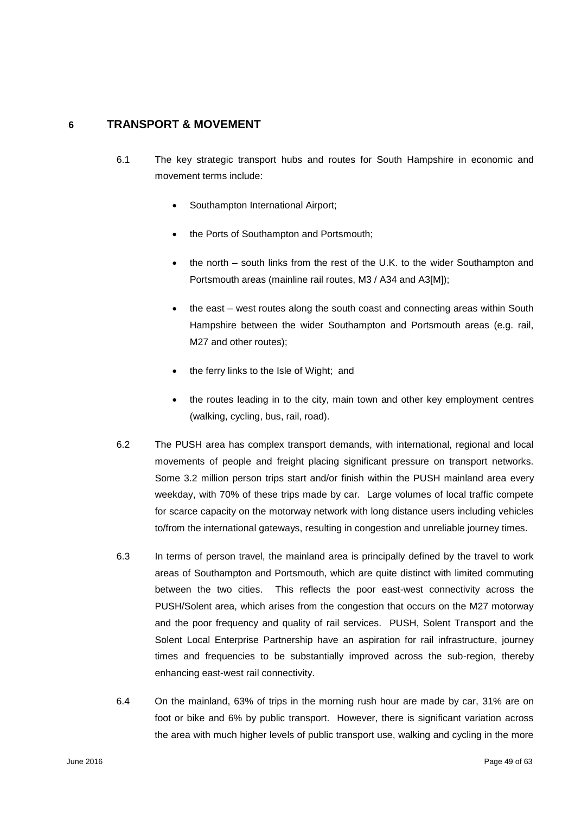## **6 TRANSPORT & MOVEMENT**

- 6.1 The key strategic transport hubs and routes for South Hampshire in economic and movement terms include:
	- Southampton International Airport;
	- the Ports of Southampton and Portsmouth;
	- the north south links from the rest of the U.K. to the wider Southampton and Portsmouth areas (mainline rail routes, M3 / A34 and A3[M]);
	- the east west routes along the south coast and connecting areas within South Hampshire between the wider Southampton and Portsmouth areas (e.g. rail, M27 and other routes);
	- the ferry links to the Isle of Wight; and
	- the routes leading in to the city, main town and other key employment centres (walking, cycling, bus, rail, road).
- 6.2 The PUSH area has complex transport demands, with international, regional and local movements of people and freight placing significant pressure on transport networks. Some 3.2 million person trips start and/or finish within the PUSH mainland area every weekday, with 70% of these trips made by car. Large volumes of local traffic compete for scarce capacity on the motorway network with long distance users including vehicles to/from the international gateways, resulting in congestion and unreliable journey times.
- 6.3 In terms of person travel, the mainland area is principally defined by the travel to work areas of Southampton and Portsmouth, which are quite distinct with limited commuting between the two cities. This reflects the poor east-west connectivity across the PUSH/Solent area, which arises from the congestion that occurs on the M27 motorway and the poor frequency and quality of rail services. PUSH, Solent Transport and the Solent Local Enterprise Partnership have an aspiration for rail infrastructure, journey times and frequencies to be substantially improved across the sub-region, thereby enhancing east-west rail connectivity.
- 6.4 On the mainland, 63% of trips in the morning rush hour are made by car, 31% are on foot or bike and 6% by public transport. However, there is significant variation across the area with much higher levels of public transport use, walking and cycling in the more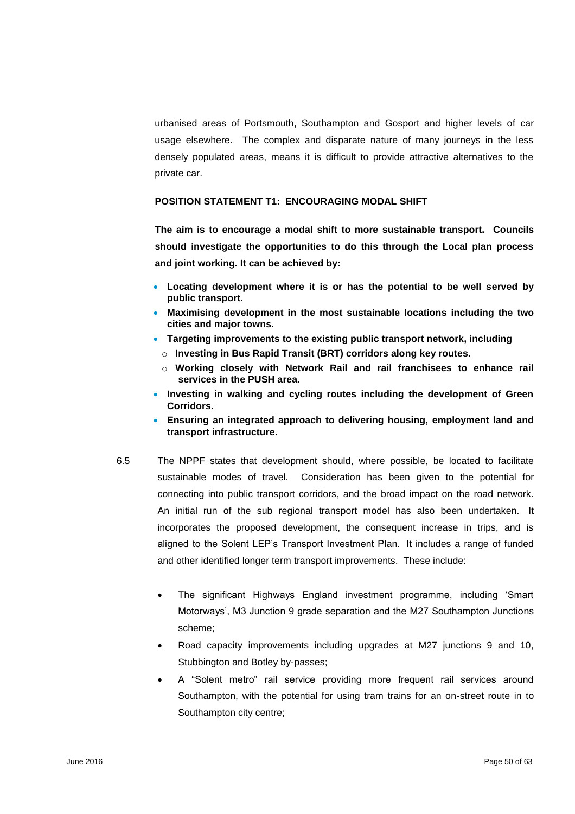urbanised areas of Portsmouth, Southampton and Gosport and higher levels of car usage elsewhere. The complex and disparate nature of many journeys in the less densely populated areas, means it is difficult to provide attractive alternatives to the private car.

#### **POSITION STATEMENT T1: ENCOURAGING MODAL SHIFT**

**The aim is to encourage a modal shift to more sustainable transport. Councils should investigate the opportunities to do this through the Local plan process and joint working. It can be achieved by:**

- **Locating development where it is or has the potential to be well served by public transport.**
- **Maximising development in the most sustainable locations including the two cities and major towns.**
- **Targeting improvements to the existing public transport network, including** 
	- o **Investing in Bus Rapid Transit (BRT) corridors along key routes.**
	- o **Working closely with Network Rail and rail franchisees to enhance rail services in the PUSH area.**
- **Investing in walking and cycling routes including the development of Green Corridors.**
- **Ensuring an integrated approach to delivering housing, employment land and transport infrastructure.**
- 6.5 The NPPF states that development should, where possible, be located to facilitate sustainable modes of travel. Consideration has been given to the potential for connecting into public transport corridors, and the broad impact on the road network. An initial run of the sub regional transport model has also been undertaken. It incorporates the proposed development, the consequent increase in trips, and is aligned to the Solent LEP's Transport Investment Plan. It includes a range of funded and other identified longer term transport improvements. These include:
	- The significant Highways England investment programme, including 'Smart Motorways', M3 Junction 9 grade separation and the M27 Southampton Junctions scheme;
	- Road capacity improvements including upgrades at M27 junctions 9 and 10, Stubbington and Botley by-passes;
	- A "Solent metro" rail service providing more frequent rail services around Southampton, with the potential for using tram trains for an on-street route in to Southampton city centre;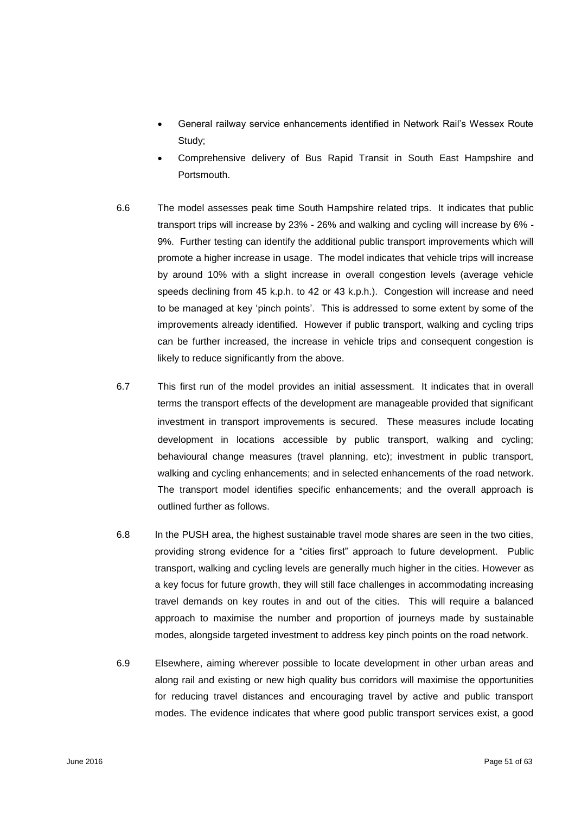- General railway service enhancements identified in Network Rail's Wessex Route Study;
- Comprehensive delivery of Bus Rapid Transit in South East Hampshire and Portsmouth.
- 6.6 The model assesses peak time South Hampshire related trips. It indicates that public transport trips will increase by 23% - 26% and walking and cycling will increase by 6% - 9%. Further testing can identify the additional public transport improvements which will promote a higher increase in usage. The model indicates that vehicle trips will increase by around 10% with a slight increase in overall congestion levels (average vehicle speeds declining from 45 k.p.h. to 42 or 43 k.p.h.). Congestion will increase and need to be managed at key 'pinch points'. This is addressed to some extent by some of the improvements already identified. However if public transport, walking and cycling trips can be further increased, the increase in vehicle trips and consequent congestion is likely to reduce significantly from the above.
- 6.7 This first run of the model provides an initial assessment. It indicates that in overall terms the transport effects of the development are manageable provided that significant investment in transport improvements is secured. These measures include locating development in locations accessible by public transport, walking and cycling; behavioural change measures (travel planning, etc); investment in public transport, walking and cycling enhancements; and in selected enhancements of the road network. The transport model identifies specific enhancements; and the overall approach is outlined further as follows.
- 6.8 In the PUSH area, the highest sustainable travel mode shares are seen in the two cities, providing strong evidence for a "cities first" approach to future development. Public transport, walking and cycling levels are generally much higher in the cities. However as a key focus for future growth, they will still face challenges in accommodating increasing travel demands on key routes in and out of the cities. This will require a balanced approach to maximise the number and proportion of journeys made by sustainable modes, alongside targeted investment to address key pinch points on the road network.
- 6.9 Elsewhere, aiming wherever possible to locate development in other urban areas and along rail and existing or new high quality bus corridors will maximise the opportunities for reducing travel distances and encouraging travel by active and public transport modes. The evidence indicates that where good public transport services exist, a good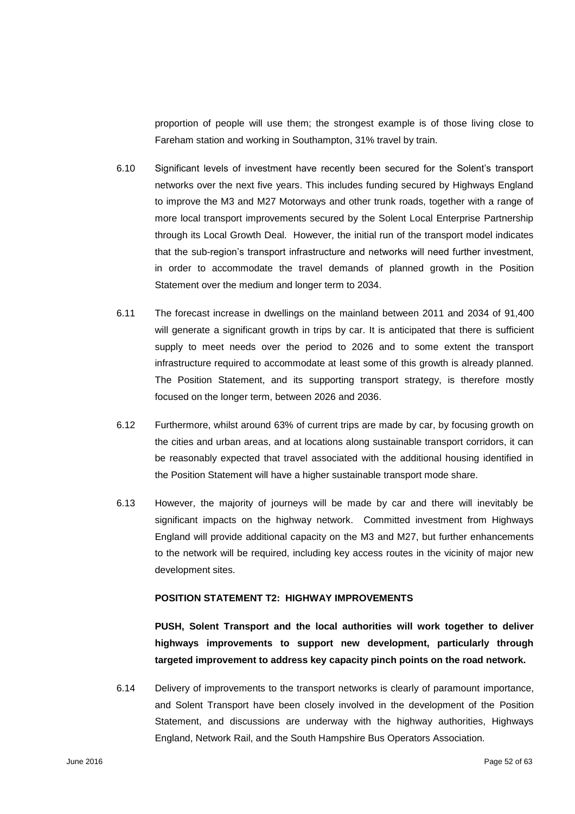proportion of people will use them; the strongest example is of those living close to Fareham station and working in Southampton, 31% travel by train.

- 6.10 Significant levels of investment have recently been secured for the Solent's transport networks over the next five years. This includes funding secured by Highways England to improve the M3 and M27 Motorways and other trunk roads, together with a range of more local transport improvements secured by the Solent Local Enterprise Partnership through its Local Growth Deal. However, the initial run of the transport model indicates that the sub-region's transport infrastructure and networks will need further investment, in order to accommodate the travel demands of planned growth in the Position Statement over the medium and longer term to 2034.
- 6.11 The forecast increase in dwellings on the mainland between 2011 and 2034 of 91,400 will generate a significant growth in trips by car. It is anticipated that there is sufficient supply to meet needs over the period to 2026 and to some extent the transport infrastructure required to accommodate at least some of this growth is already planned. The Position Statement, and its supporting transport strategy, is therefore mostly focused on the longer term, between 2026 and 2036.
- 6.12 Furthermore, whilst around 63% of current trips are made by car, by focusing growth on the cities and urban areas, and at locations along sustainable transport corridors, it can be reasonably expected that travel associated with the additional housing identified in the Position Statement will have a higher sustainable transport mode share.
- 6.13 However, the majority of journeys will be made by car and there will inevitably be significant impacts on the highway network. Committed investment from Highways England will provide additional capacity on the M3 and M27, but further enhancements to the network will be required, including key access routes in the vicinity of major new development sites.

## **POSITION STATEMENT T2: HIGHWAY IMPROVEMENTS**

**PUSH, Solent Transport and the local authorities will work together to deliver highways improvements to support new development, particularly through targeted improvement to address key capacity pinch points on the road network.** 

6.14 Delivery of improvements to the transport networks is clearly of paramount importance, and Solent Transport have been closely involved in the development of the Position Statement, and discussions are underway with the highway authorities, Highways England, Network Rail, and the South Hampshire Bus Operators Association.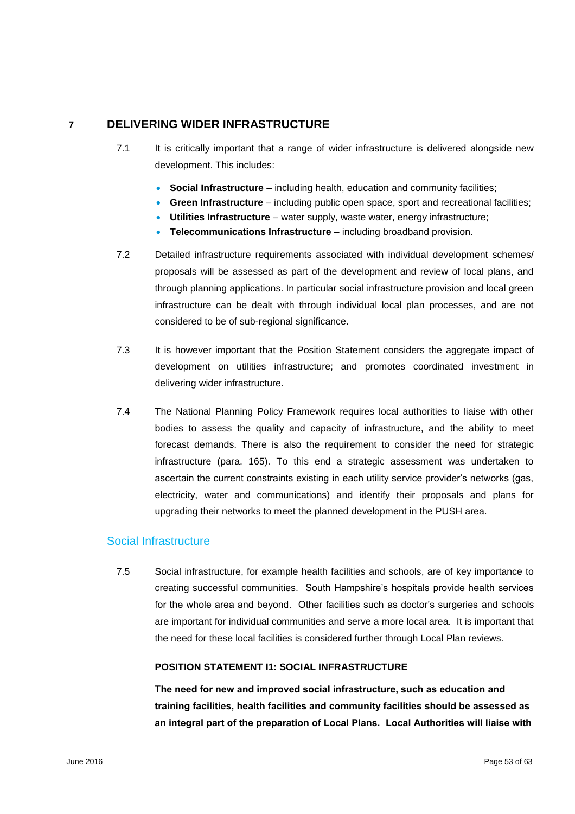## **7 DELIVERING WIDER INFRASTRUCTURE**

- 7.1 It is critically important that a range of wider infrastructure is delivered alongside new development. This includes:
	- **Social Infrastructure** including health, education and community facilities;
	- **Green Infrastructure** including public open space, sport and recreational facilities;
	- **Utilities Infrastructure** water supply, waste water, energy infrastructure;
	- **Telecommunications Infrastructure** including broadband provision.
- 7.2 Detailed infrastructure requirements associated with individual development schemes/ proposals will be assessed as part of the development and review of local plans, and through planning applications. In particular social infrastructure provision and local green infrastructure can be dealt with through individual local plan processes, and are not considered to be of sub-regional significance.
- 7.3 It is however important that the Position Statement considers the aggregate impact of development on utilities infrastructure; and promotes coordinated investment in delivering wider infrastructure.
- 7.4 The National Planning Policy Framework requires local authorities to liaise with other bodies to assess the quality and capacity of infrastructure, and the ability to meet forecast demands. There is also the requirement to consider the need for strategic infrastructure (para. 165). To this end a strategic assessment was undertaken to ascertain the current constraints existing in each utility service provider's networks (gas, electricity, water and communications) and identify their proposals and plans for upgrading their networks to meet the planned development in the PUSH area.

## Social Infrastructure

7.5 Social infrastructure, for example health facilities and schools, are of key importance to creating successful communities. South Hampshire's hospitals provide health services for the whole area and beyond. Other facilities such as doctor's surgeries and schools are important for individual communities and serve a more local area. It is important that the need for these local facilities is considered further through Local Plan reviews.

## **POSITION STATEMENT I1: SOCIAL INFRASTRUCTURE**

**The need for new and improved social infrastructure, such as education and training facilities, health facilities and community facilities should be assessed as an integral part of the preparation of Local Plans. Local Authorities will liaise with**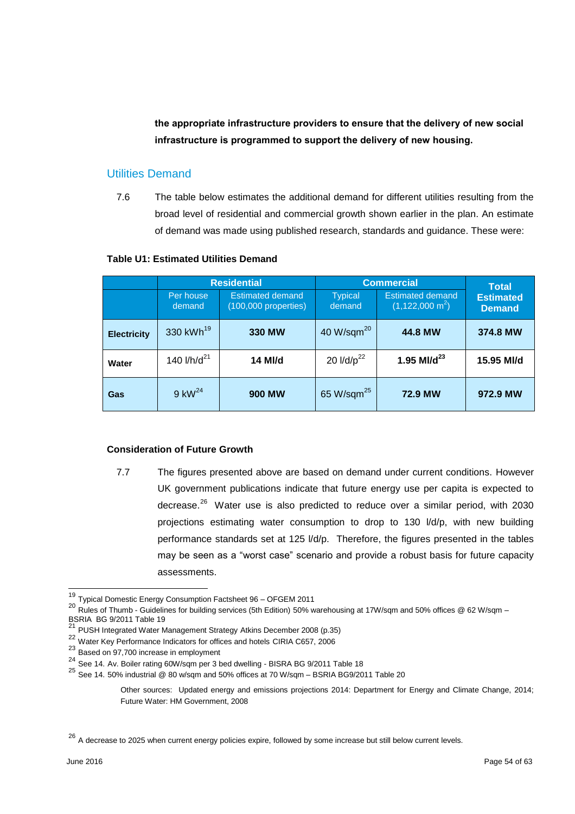**the appropriate infrastructure providers to ensure that the delivery of new social infrastructure is programmed to support the delivery of new housing.** 

## Utilities Demand

7.6 The table below estimates the additional demand for different utilities resulting from the broad level of residential and commercial growth shown earlier in the plan. An estimate of demand was made using published research, standards and guidance. These were:

#### **Table U1: Estimated Utilities Demand**

|                    |                         | <b>Residential</b><br><b>Commercial</b>           |                          | <b>Total</b>                                           |                                   |
|--------------------|-------------------------|---------------------------------------------------|--------------------------|--------------------------------------------------------|-----------------------------------|
|                    | Per house<br>demand     | <b>Estimated demand</b><br>$(100,000$ properties) | <b>Typical</b><br>demand | <b>Estimated demand</b><br>$(1, 122, 000 \text{ m}^2)$ | <b>Estimated</b><br><b>Demand</b> |
| <b>Electricity</b> | 330 kWh <sup>19</sup>   | <b>330 MW</b>                                     | 40 W/sqm $^{20}$         | 44.8 MW                                                | 374.8 MW                          |
| Water              | 140 l/h/d <sup>21</sup> | 14 MI/d                                           | 20 $I/d/p^{22}$          | 1.95 MI/ $d^{23}$                                      | 15.95 MI/d                        |
| Gas                | $9$ kW <sup>24</sup>    | <b>900 MW</b>                                     | 65 W/sqm <sup>25</sup>   | 72.9 MW                                                | 972.9 MW                          |

#### **Consideration of Future Growth**

7.7 The figures presented above are based on demand under current conditions. However UK government publications indicate that future energy use per capita is expected to decrease.<sup>26</sup> Water use is also predicted to reduce over a similar period, with 2030 projections estimating water consumption to drop to 130 l/d/p, with new building performance standards set at 125 l/d/p. Therefore, the figures presented in the tables may be seen as a "worst case" scenario and provide a robust basis for future capacity assessments.

 $\overline{\phantom{a}}$ 

<sup>&</sup>lt;sup>19</sup> Typical Domestic Energy Consumption Factsheet 96 – OFGEM 2011

<sup>20</sup> Rules of Thumb - Guidelines for building services (5th Edition) 50% warehousing at 17W/sqm and 50% offices @ 62 W/sqm – BSRIA BG 9/2011 Table 19<br><sup>21</sup> PUSH Integrated Water Management Strategy Atkins December 2008 (p.35)

<sup>22</sup> Water Key Performance Indicators for offices and hotels CIRIA C657, 2006

<sup>23</sup> Based on 97,700 increase in employment

 $^{24}$  See 14. Av. Boiler rating 60W/sqm per 3 bed dwelling - BISRA BG 9/2011 Table 18

<sup>25</sup> See 14. 50% industrial @ 80 w/sqm and 50% offices at 70 W/sqm – BSRIA BG9/2011 Table 20

Other sources: Updated energy and emissions projections 2014: Department for Energy and Climate Change, 2014; Future Water: HM Government, 2008

 $26$  A decrease to 2025 when current energy policies expire, followed by some increase but still below current levels.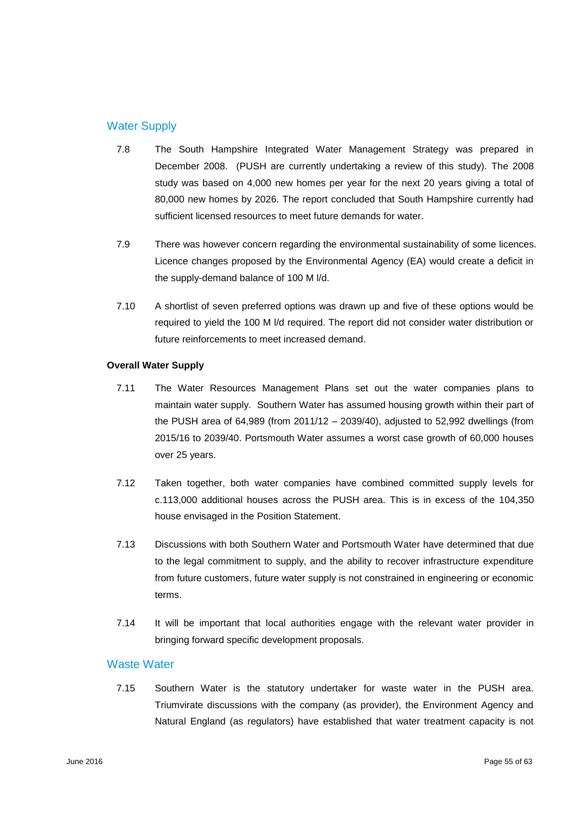## Water Supply

- 7.8 The South Hampshire Integrated Water Management Strategy was prepared in December 2008. (PUSH are currently undertaking a review of this study). The 2008 study was based on 4,000 new homes per year for the next 20 years giving a total of 80,000 new homes by 2026. The report concluded that South Hampshire currently had sufficient licensed resources to meet future demands for water.
- 7.9 There was however concern regarding the environmental sustainability of some licences. Licence changes proposed by the Environmental Agency (EA) would create a deficit in the supply-demand balance of 100 M l/d.
- 7.10 A shortlist of seven preferred options was drawn up and five of these options would be required to yield the 100 M l/d required. The report did not consider water distribution or future reinforcements to meet increased demand.

## **Overall Water Supply**

- 7.11 The Water Resources Management Plans set out the water companies plans to maintain water supply. Southern Water has assumed housing growth within their part of the PUSH area of 64,989 (from 2011/12 – 2039/40), adjusted to 52,992 dwellings (from 2015/16 to 2039/40. Portsmouth Water assumes a worst case growth of 60,000 houses over 25 years.
- 7.12 Taken together, both water companies have combined committed supply levels for c.113,000 additional houses across the PUSH area. This is in excess of the 104,350 house envisaged in the Position Statement.
- 7.13 Discussions with both Southern Water and Portsmouth Water have determined that due to the legal commitment to supply, and the ability to recover infrastructure expenditure from future customers, future water supply is not constrained in engineering or economic terms.
- 7.14 It will be important that local authorities engage with the relevant water provider in bringing forward specific development proposals.

#### Waste Water

7.15 Southern Water is the statutory undertaker for waste water in the PUSH area. Triumvirate discussions with the company (as provider), the Environment Agency and Natural England (as regulators) have established that water treatment capacity is not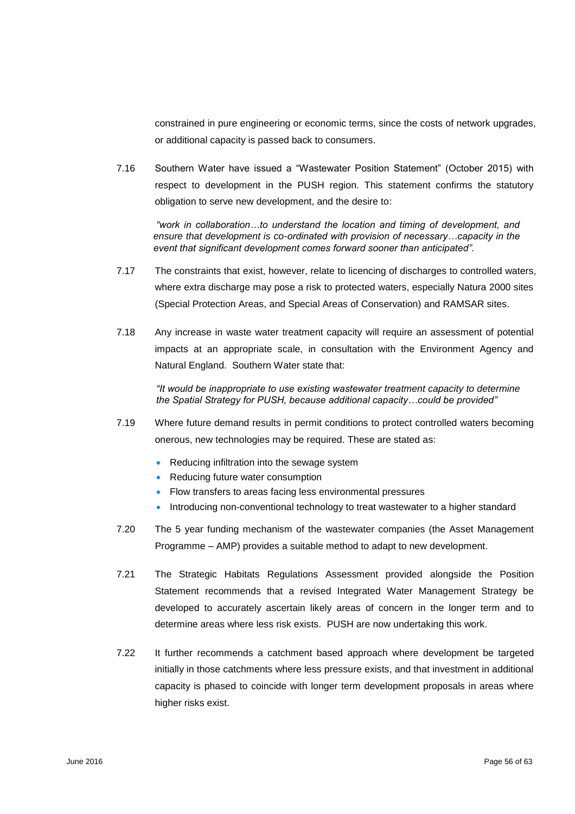constrained in pure engineering or economic terms, since the costs of network upgrades, or additional capacity is passed back to consumers.

7.16 Southern Water have issued a "Wastewater Position Statement" (October 2015) with respect to development in the PUSH region. This statement confirms the statutory obligation to serve new development, and the desire to:

*"work in collaboration…to understand the location and timing of development, and ensure that development is co-ordinated with provision of necessary…capacity in the event that significant development comes forward sooner than anticipated".*

- 7.17 The constraints that exist, however, relate to licencing of discharges to controlled waters, where extra discharge may pose a risk to protected waters, especially Natura 2000 sites (Special Protection Areas, and Special Areas of Conservation) and RAMSAR sites.
- 7.18 Any increase in waste water treatment capacity will require an assessment of potential impacts at an appropriate scale, in consultation with the Environment Agency and Natural England. Southern Water state that:

*"It would be inappropriate to use existing wastewater treatment capacity to determine the Spatial Strategy for PUSH, because additional capacity…could be provided"* 

- 7.19 Where future demand results in permit conditions to protect controlled waters becoming onerous, new technologies may be required. These are stated as:
	- Reducing infiltration into the sewage system
	- Reducing future water consumption
	- Flow transfers to areas facing less environmental pressures
	- Introducing non-conventional technology to treat wastewater to a higher standard
- 7.20 The 5 year funding mechanism of the wastewater companies (the Asset Management Programme – AMP) provides a suitable method to adapt to new development.
- 7.21 The Strategic Habitats Regulations Assessment provided alongside the Position Statement recommends that a revised Integrated Water Management Strategy be developed to accurately ascertain likely areas of concern in the longer term and to determine areas where less risk exists. PUSH are now undertaking this work.
- 7.22 It further recommends a catchment based approach where development be targeted initially in those catchments where less pressure exists, and that investment in additional capacity is phased to coincide with longer term development proposals in areas where higher risks exist.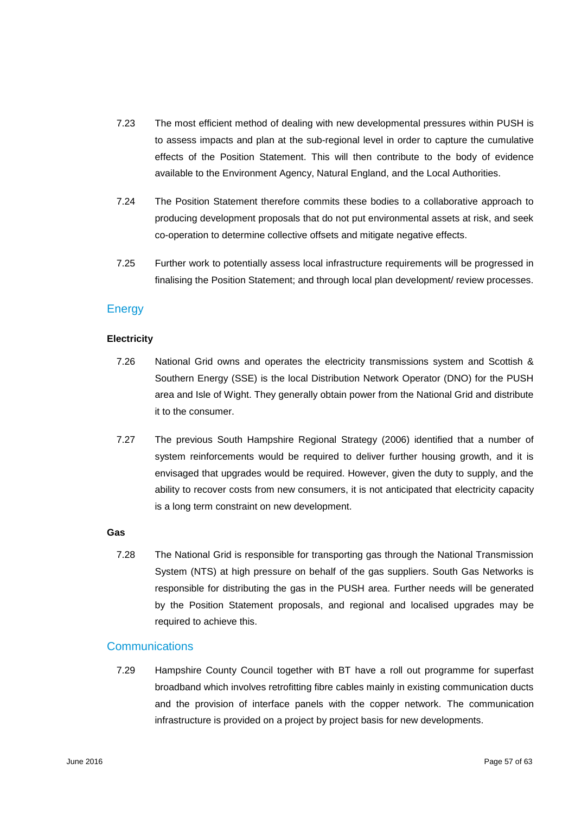- 7.23 The most efficient method of dealing with new developmental pressures within PUSH is to assess impacts and plan at the sub-regional level in order to capture the cumulative effects of the Position Statement. This will then contribute to the body of evidence available to the Environment Agency, Natural England, and the Local Authorities.
- 7.24 The Position Statement therefore commits these bodies to a collaborative approach to producing development proposals that do not put environmental assets at risk, and seek co-operation to determine collective offsets and mitigate negative effects.
- 7.25 Further work to potentially assess local infrastructure requirements will be progressed in finalising the Position Statement; and through local plan development/ review processes.

## **Energy**

#### **Electricity**

- 7.26 National Grid owns and operates the electricity transmissions system and Scottish & Southern Energy (SSE) is the local Distribution Network Operator (DNO) for the PUSH area and Isle of Wight. They generally obtain power from the National Grid and distribute it to the consumer.
- 7.27 The previous South Hampshire Regional Strategy (2006) identified that a number of system reinforcements would be required to deliver further housing growth, and it is envisaged that upgrades would be required. However, given the duty to supply, and the ability to recover costs from new consumers, it is not anticipated that electricity capacity is a long term constraint on new development.

#### **Gas**

7.28 The National Grid is responsible for transporting gas through the National Transmission System (NTS) at high pressure on behalf of the gas suppliers. South Gas Networks is responsible for distributing the gas in the PUSH area. Further needs will be generated by the Position Statement proposals, and regional and localised upgrades may be required to achieve this.

## **Communications**

7.29 Hampshire County Council together with BT have a roll out programme for superfast broadband which involves retrofitting fibre cables mainly in existing communication ducts and the provision of interface panels with the copper network. The communication infrastructure is provided on a project by project basis for new developments.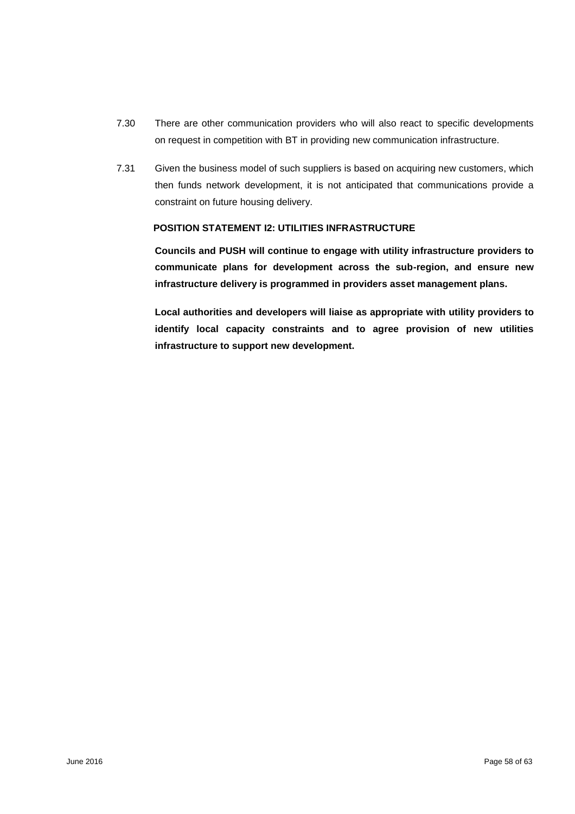- 7.30 There are other communication providers who will also react to specific developments on request in competition with BT in providing new communication infrastructure.
- 7.31 Given the business model of such suppliers is based on acquiring new customers, which then funds network development, it is not anticipated that communications provide a constraint on future housing delivery.

#### **POSITION STATEMENT I2: UTILITIES INFRASTRUCTURE**

**Councils and PUSH will continue to engage with utility infrastructure providers to communicate plans for development across the sub-region, and ensure new infrastructure delivery is programmed in providers asset management plans.** 

**Local authorities and developers will liaise as appropriate with utility providers to identify local capacity constraints and to agree provision of new utilities infrastructure to support new development.**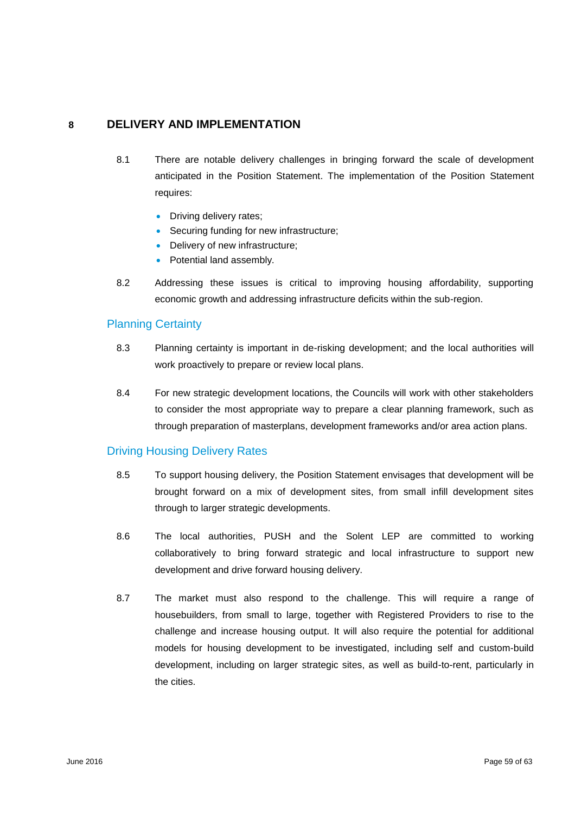## **8 DELIVERY AND IMPLEMENTATION**

- 8.1 There are notable delivery challenges in bringing forward the scale of development anticipated in the Position Statement. The implementation of the Position Statement requires:
	- Driving delivery rates;
	- Securing funding for new infrastructure;
	- Delivery of new infrastructure;
	- Potential land assembly.
- 8.2 Addressing these issues is critical to improving housing affordability, supporting economic growth and addressing infrastructure deficits within the sub-region.

# Planning Certainty

- 8.3 Planning certainty is important in de-risking development; and the local authorities will work proactively to prepare or review local plans.
- 8.4 For new strategic development locations, the Councils will work with other stakeholders to consider the most appropriate way to prepare a clear planning framework, such as through preparation of masterplans, development frameworks and/or area action plans.

## Driving Housing Delivery Rates

- 8.5 To support housing delivery, the Position Statement envisages that development will be brought forward on a mix of development sites, from small infill development sites through to larger strategic developments.
- 8.6 The local authorities, PUSH and the Solent LEP are committed to working collaboratively to bring forward strategic and local infrastructure to support new development and drive forward housing delivery.
- 8.7 The market must also respond to the challenge. This will require a range of housebuilders, from small to large, together with Registered Providers to rise to the challenge and increase housing output. It will also require the potential for additional models for housing development to be investigated, including self and custom-build development, including on larger strategic sites, as well as build-to-rent, particularly in the cities.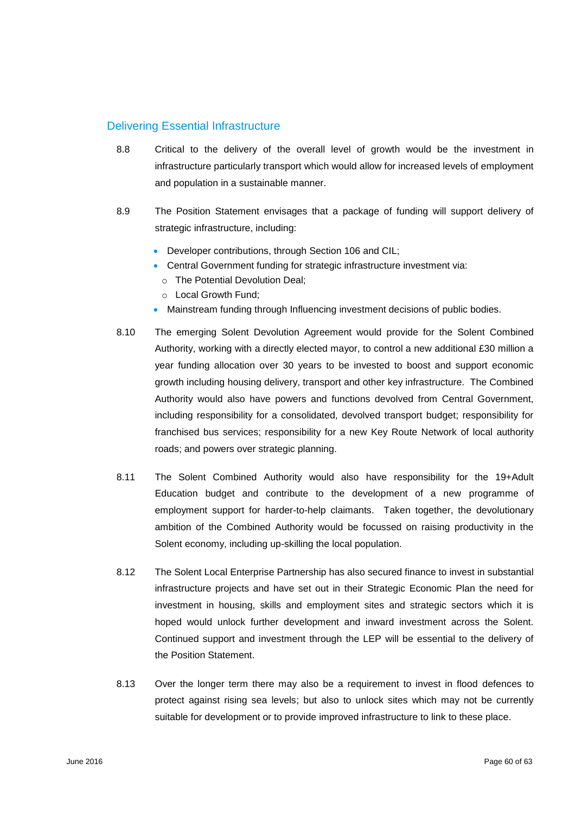## Delivering Essential Infrastructure

- 8.8 Critical to the delivery of the overall level of growth would be the investment in infrastructure particularly transport which would allow for increased levels of employment and population in a sustainable manner.
- 8.9 The Position Statement envisages that a package of funding will support delivery of strategic infrastructure, including:
	- Developer contributions, through Section 106 and CIL;
	- Central Government funding for strategic infrastructure investment via:
		- o The Potential Devolution Deal;
		- o Local Growth Fund;
	- Mainstream funding through Influencing investment decisions of public bodies.
- 8.10 The emerging Solent Devolution Agreement would provide for the Solent Combined Authority, working with a directly elected mayor, to control a new additional £30 million a year funding allocation over 30 years to be invested to boost and support economic growth including housing delivery, transport and other key infrastructure. The Combined Authority would also have powers and functions devolved from Central Government, including responsibility for a consolidated, devolved transport budget; responsibility for franchised bus services; responsibility for a new Key Route Network of local authority roads; and powers over strategic planning.
- 8.11 The Solent Combined Authority would also have responsibility for the 19+Adult Education budget and contribute to the development of a new programme of employment support for harder-to-help claimants. Taken together, the devolutionary ambition of the Combined Authority would be focussed on raising productivity in the Solent economy, including up-skilling the local population.
- 8.12 The Solent Local Enterprise Partnership has also secured finance to invest in substantial infrastructure projects and have set out in their Strategic Economic Plan the need for investment in housing, skills and employment sites and strategic sectors which it is hoped would unlock further development and inward investment across the Solent. Continued support and investment through the LEP will be essential to the delivery of the Position Statement.
- 8.13 Over the longer term there may also be a requirement to invest in flood defences to protect against rising sea levels; but also to unlock sites which may not be currently suitable for development or to provide improved infrastructure to link to these place.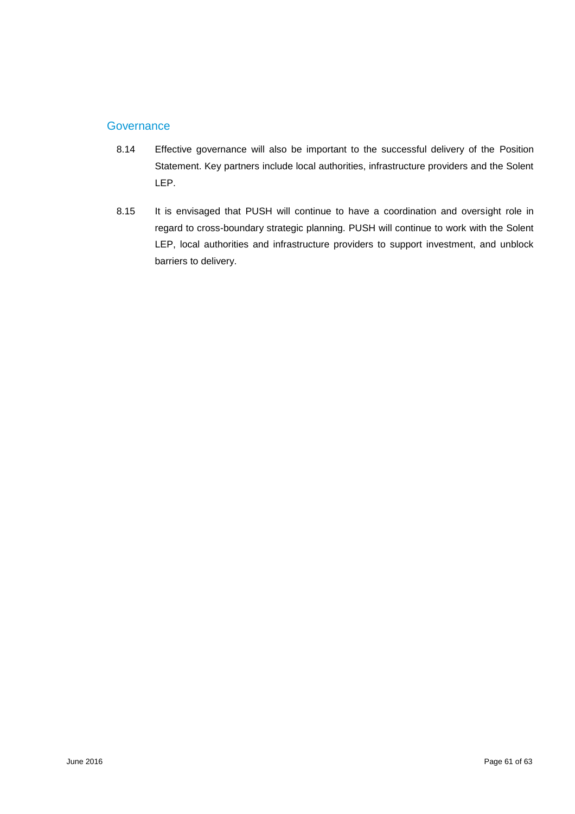## **Governance**

- 8.14 Effective governance will also be important to the successful delivery of the Position Statement. Key partners include local authorities, infrastructure providers and the Solent LEP.
- 8.15 It is envisaged that PUSH will continue to have a coordination and oversight role in regard to cross-boundary strategic planning. PUSH will continue to work with the Solent LEP, local authorities and infrastructure providers to support investment, and unblock barriers to delivery.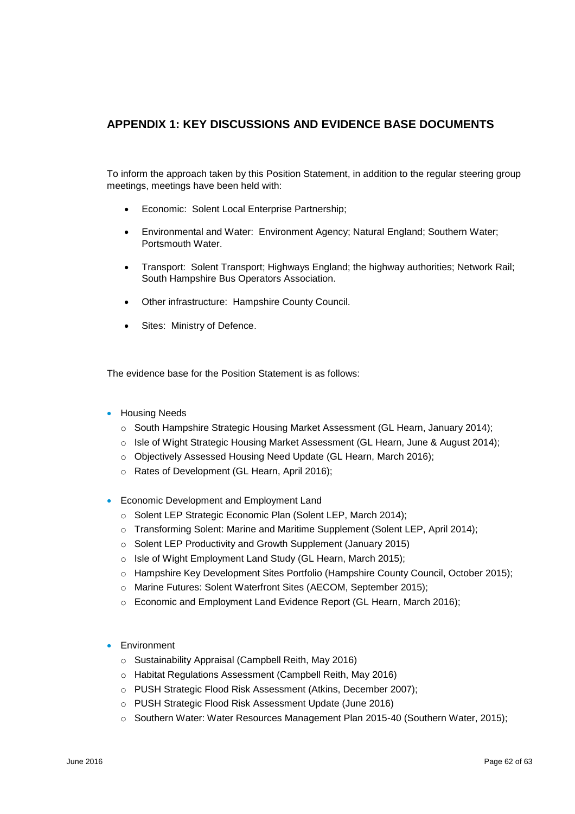# **APPENDIX 1: KEY DISCUSSIONS AND EVIDENCE BASE DOCUMENTS**

To inform the approach taken by this Position Statement, in addition to the regular steering group meetings, meetings have been held with:

- Economic: Solent Local Enterprise Partnership;
- Environmental and Water: Environment Agency; Natural England; Southern Water; Portsmouth Water.
- Transport: Solent Transport; Highways England; the highway authorities; Network Rail; South Hampshire Bus Operators Association.
- Other infrastructure: Hampshire County Council.
- Sites: Ministry of Defence.

The evidence base for the Position Statement is as follows:

- **Housing Needs** 
	- o South Hampshire Strategic Housing Market Assessment (GL Hearn, January 2014);
	- $\circ$  Isle of Wight Strategic Housing Market Assessment (GL Hearn, June & August 2014);
	- o Objectively Assessed Housing Need Update (GL Hearn, March 2016);
	- o Rates of Development (GL Hearn, April 2016);
- **•** Economic Development and Employment Land
	- o Solent LEP Strategic Economic Plan (Solent LEP, March 2014);
	- o Transforming Solent: Marine and Maritime Supplement (Solent LEP, April 2014);
	- o Solent LEP Productivity and Growth Supplement (January 2015)
	- o Isle of Wight Employment Land Study (GL Hearn, March 2015);
	- o Hampshire Key Development Sites Portfolio (Hampshire County Council, October 2015);
	- o Marine Futures: Solent Waterfront Sites (AECOM, September 2015);
	- o Economic and Employment Land Evidence Report (GL Hearn, March 2016);
- **Environment** 
	- o Sustainability Appraisal (Campbell Reith, May 2016)
	- o Habitat Regulations Assessment (Campbell Reith, May 2016)
	- o PUSH Strategic Flood Risk Assessment (Atkins, December 2007);
	- o PUSH Strategic Flood Risk Assessment Update (June 2016)
	- o Southern Water: Water Resources Management Plan 2015-40 (Southern Water, 2015);